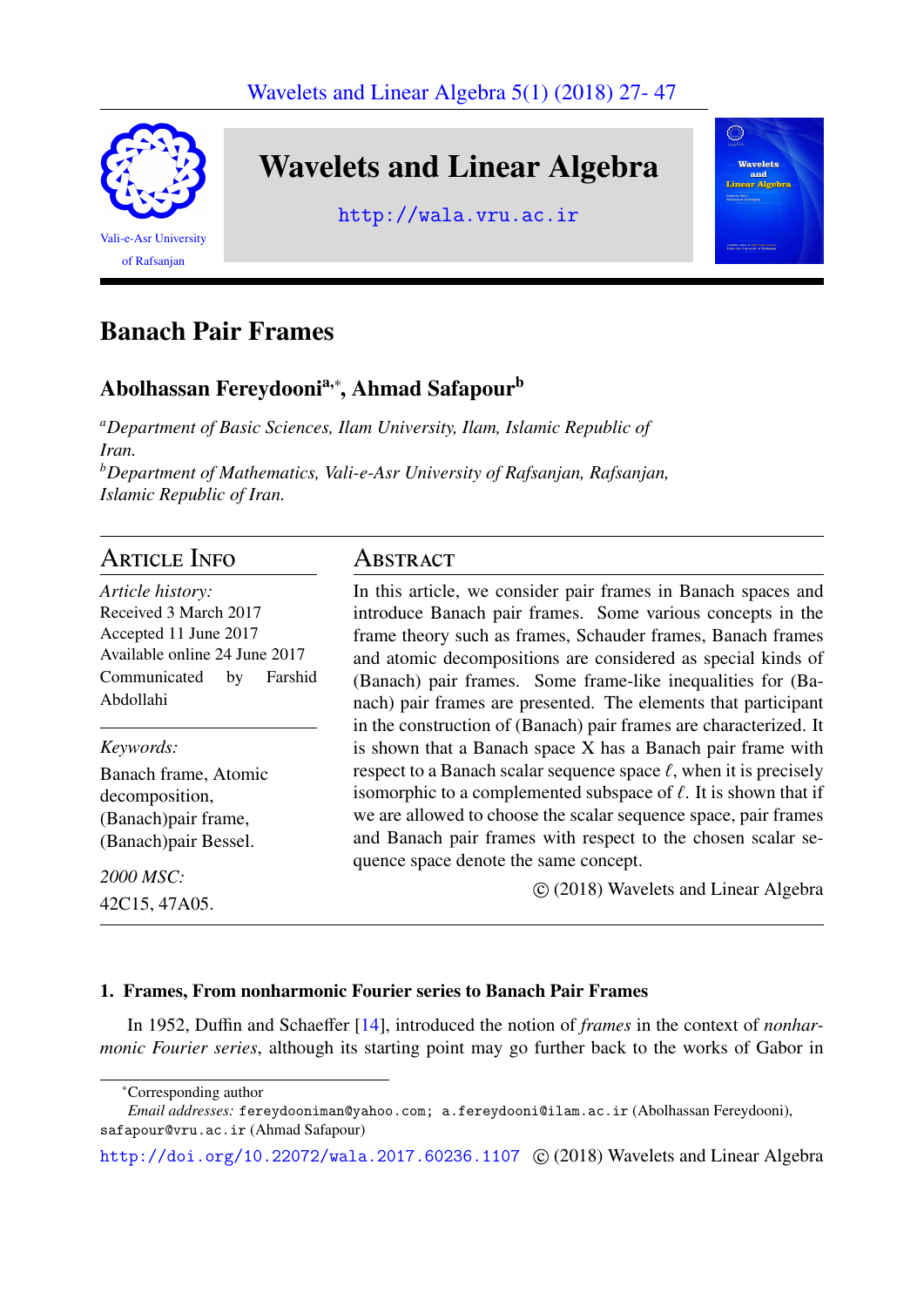

# Banach Pair Frames

## Abolhassan Fereydooni<sup>a,</sup>\*, Ahmad Safapour<sup>b</sup>

*<sup>a</sup>Department of Basic Sciences, Ilam University, Ilam, Islamic Republic of Iran. <sup>b</sup>Department of Mathematics, Vali-e-Asr University of Rafsanjan, Rafsanjan, Islamic Republic of Iran.*

### Article Info

*Article history:* Received 3 March 2017 Accepted 11 June 2017 Available online 24 June 2017 Communicated by Farshid Abdollahi

*Keywords:* Banach frame, Atomic decomposition, (Banach)pair frame, (Banach)pair Bessel.

*2000 MSC:* 42C15, 47A05.

## **ABSTRACT**

In this article, we consider pair frames in Banach spaces and introduce Banach pair frames. Some various concepts in the frame theory such as frames, Schauder frames, Banach frames and atomic decompositions are considered as special kinds of (Banach) pair frames. Some frame-like inequalities for (Banach) pair frames are presented. The elements that participant in the construction of (Banach) pair frames are characterized. It is shown that a Banach space X has a Banach pair frame with respect to a Banach scalar sequence space  $\ell$ , when it is precisely isomorphic to a complemented subspace of  $\ell$ . It is shown that if we are allowed to choose the scalar sequence space, pair frames and Banach pair frames with respect to the chosen scalar sequence space denote the same concept.

c (2018) Wavelets and Linear Algebra

### 1. Frames, From nonharmonic Fourier series to Banach Pair Frames

In 1952, Duffin and Schaeffer [\[14\]](#page-20-0), introduced the notion of *frames* in the context of *nonharmonic Fourier series*, although its starting point may go further back to the works of Gabor in

<sup>∗</sup>Corresponding author

*Email addresses:* fereydooniman@yahoo.com; a.fereydooni@ilam.ac.ir (Abolhassan Fereydooni), safapour@vru.ac.ir (Ahmad Safapour)

<http://doi.org/10.22072/wala.2017.60236.1107> © (2018) Wavelets and Linear Algebra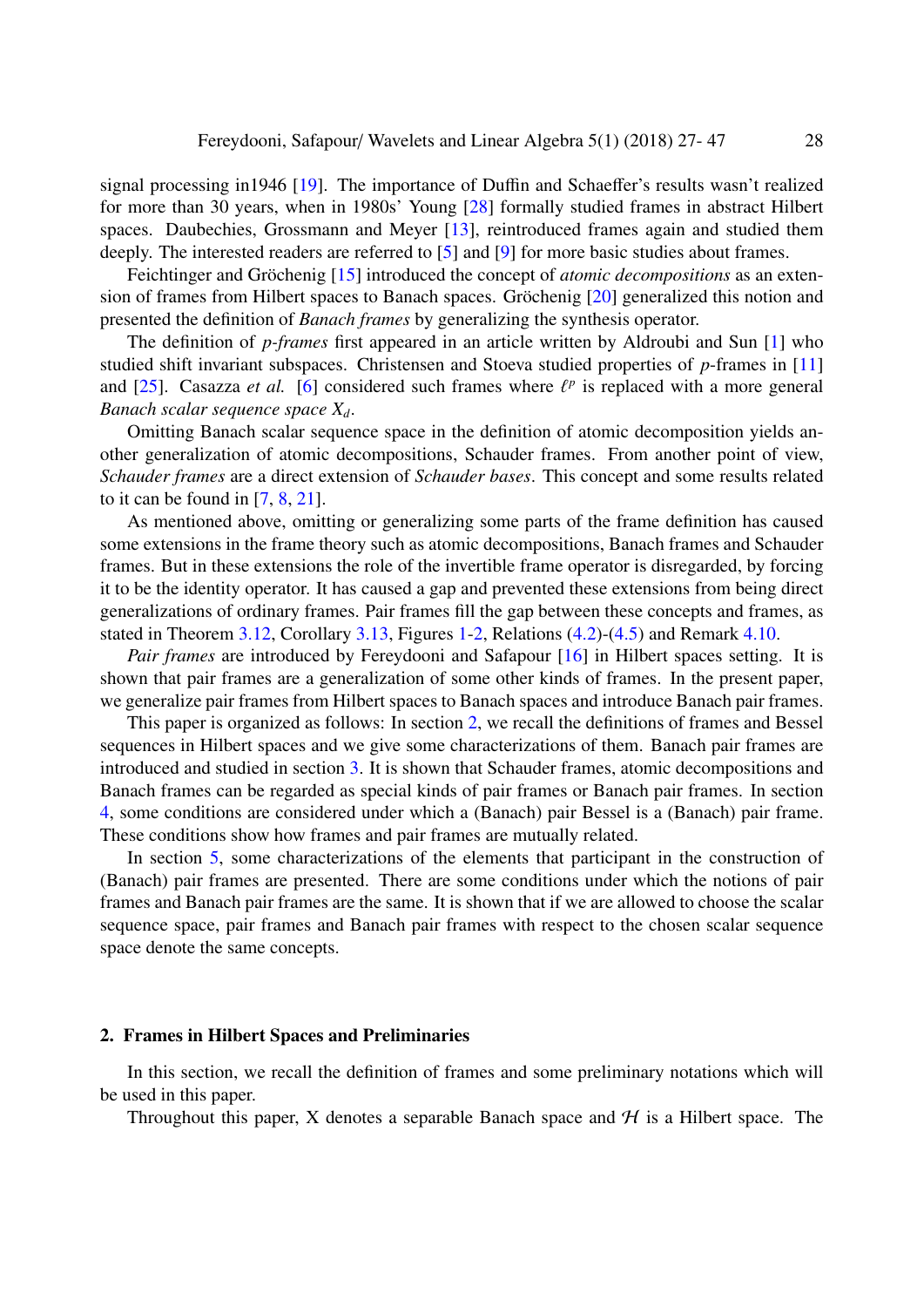signal processing in1946 [\[19\]](#page-20-1). The importance of Duffin and Schaeffer's results wasn't realized for more than 30 years, when in 1980s' Young [\[28\]](#page-20-2) formally studied frames in abstract Hilbert spaces. Daubechies, Grossmann and Meyer [\[13\]](#page-20-3), reintroduced frames again and studied them deeply. The interested readers are referred to [\[5\]](#page-20-4) and [\[9\]](#page-20-5) for more basic studies about frames.

Feichtinger and Gröchenig [[15\]](#page-20-6) introduced the concept of *atomic decompositions* as an extension of frames from Hilbert spaces to Banach spaces. Gröchenig  $[20]$  $[20]$  generalized this notion and presented the definition of *Banach frames* by generalizing the synthesis operator.

The definition of *p-frames* first appeared in an article written by Aldroubi and Sun [\[1\]](#page-19-0) who studied shift invariant subspaces. Christensen and Stoeva studied properties of *p*-frames in [\[11\]](#page-20-8) and [\[25\]](#page-20-9). Casazza *et al.* [\[6\]](#page-20-10) considered such frames where  $\ell^p$  is replaced with a more general **Banach scalar sequence** space  $X$ . *Banach scalar sequence space Xd*.

Omitting Banach scalar sequence space in the definition of atomic decomposition yields another generalization of atomic decompositions, Schauder frames. From another point of view, *Schauder frames* are a direct extension of *Schauder bases*. This concept and some results related to it can be found in [\[7,](#page-20-11) [8,](#page-20-12) [21\]](#page-20-13).

As mentioned above, omitting or generalizing some parts of the frame definition has caused some extensions in the frame theory such as atomic decompositions, Banach frames and Schauder frames. But in these extensions the role of the invertible frame operator is disregarded, by forcing it to be the identity operator. It has caused a gap and prevented these extensions from being direct generalizations of ordinary frames. Pair frames fill the gap between these concepts and frames, as stated in Theorem [3.12,](#page-9-0) Corollary [3.13,](#page-9-1) Figures [1](#page-10-0)[-2,](#page-10-1) Relations [\(4.2\)](#page-13-0)-[\(4.5\)](#page-14-0) and Remark [4.10.](#page-14-1)

*Pair frames* are introduced by Fereydooni and Safapour [\[16\]](#page-20-14) in Hilbert spaces setting. It is shown that pair frames are a generalization of some other kinds of frames. In the present paper, we generalize pair frames from Hilbert spaces to Banach spaces and introduce Banach pair frames.

This paper is organized as follows: In section [2,](#page-1-0) we recall the definitions of frames and Bessel sequences in Hilbert spaces and we give some characterizations of them. Banach pair frames are introduced and studied in section [3.](#page-3-0) It is shown that Schauder frames, atomic decompositions and Banach frames can be regarded as special kinds of pair frames or Banach pair frames. In section [4,](#page-11-0) some conditions are considered under which a (Banach) pair Bessel is a (Banach) pair frame. These conditions show how frames and pair frames are mutually related.

In section [5,](#page-15-0) some characterizations of the elements that participant in the construction of (Banach) pair frames are presented. There are some conditions under which the notions of pair frames and Banach pair frames are the same. It is shown that if we are allowed to choose the scalar sequence space, pair frames and Banach pair frames with respect to the chosen scalar sequence space denote the same concepts.

#### <span id="page-1-0"></span>2. Frames in Hilbert Spaces and Preliminaries

In this section, we recall the definition of frames and some preliminary notations which will be used in this paper.

Throughout this paper, X denotes a separable Banach space and  $H$  is a Hilbert space. The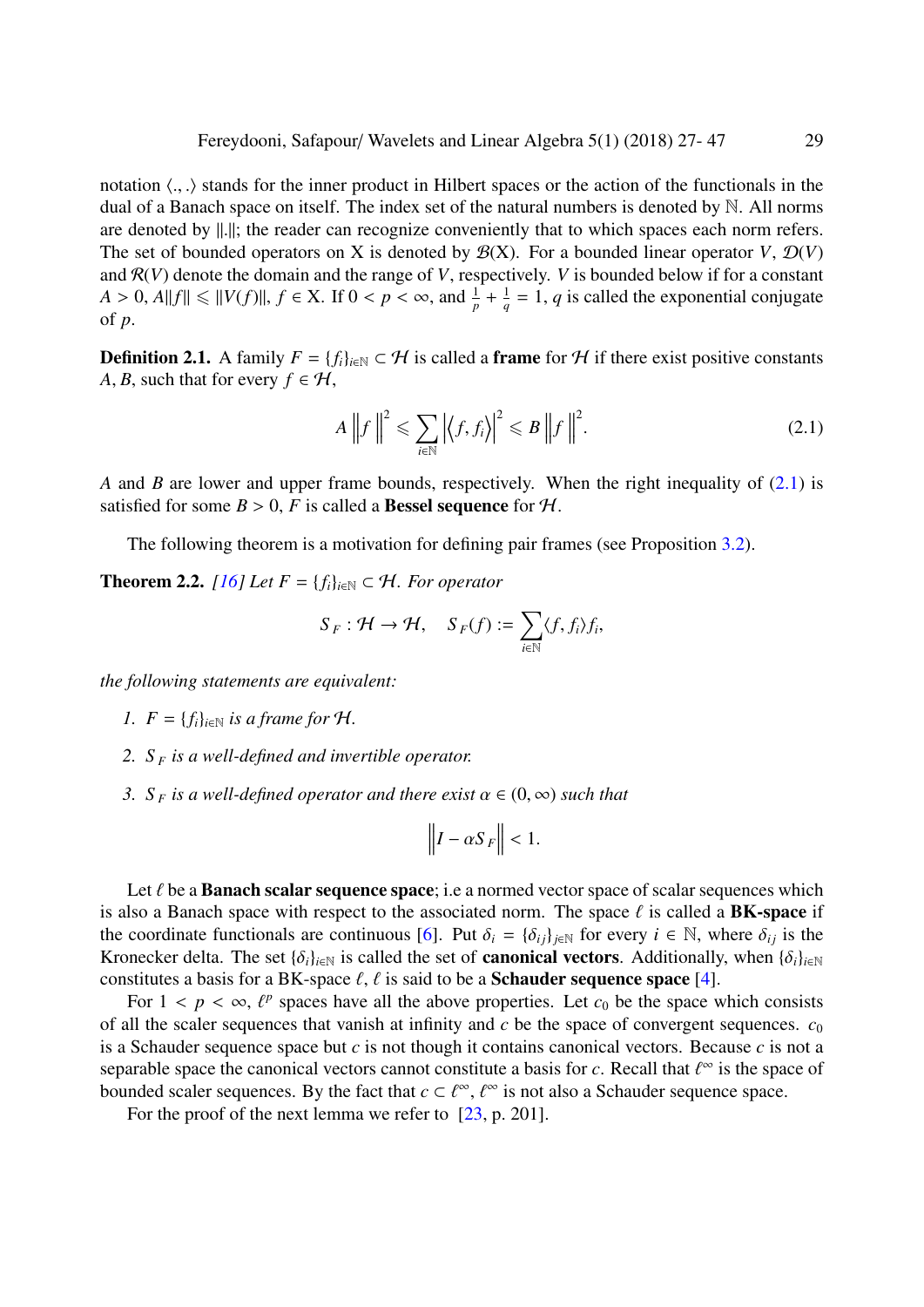notation  $\langle ., . \rangle$  stands for the inner product in Hilbert spaces or the action of the functionals in the dual of a Banach space on itself. The index set of the natural numbers is denoted by N. All norms are denoted by  $\|\cdot\|$ ; the reader can recognize conveniently that to which spaces each norm refers. The set of bounded operators on X is denoted by  $\mathcal{B}(X)$ . For a bounded linear operator *V*,  $\mathcal{D}(V)$ and  $R(V)$  denote the domain and the range of *V*, respectively. *V* is bounded below if for a constant *A* > 0, *A*||*f*||  $\leq$  ||*V*(*f*)||, *f*  $\in$  *X*. If  $0 < p < \infty$ , and  $\frac{1}{p} + \frac{1}{q}$  $\frac{1}{q}$  = 1, *q* is called the exponential conjugate of *p*.

**Definition 2.1.** A family  $F = \{f_i\}_{i \in \mathbb{N}} \subset \mathcal{H}$  is called a frame for  $\mathcal{H}$  if there exist positive constants *A*, *B*, such that for every  $f \in H$ ,

<span id="page-2-0"></span>
$$
A\left\|f\right\|^2 \leqslant \sum_{i\in\mathbb{N}} \left|\left\langle f, f_i\right\rangle\right|^2 \leqslant B\left\|f\right\|^2. \tag{2.1}
$$

*A* and *B* are lower and upper frame bounds, respectively. When the right inequality of [\(2.1\)](#page-2-0) is satisfied for some  $B > 0$ , *F* is called a **Bessel sequence** for *H*.

The following theorem is a motivation for defining pair frames (see Proposition [3.2\)](#page-4-0).

<span id="page-2-1"></span>**Theorem 2.2.** *[\[16\]](#page-20-14) Let*  $F = \{f_i\}_{i \in \mathbb{N}} \subset \mathcal{H}$ *. For operator* 

$$
S_F: \mathcal{H} \to \mathcal{H}, \quad S_F(f) := \sum_{i \in \mathbb{N}} \langle f, f_i \rangle f_i,
$$

*the following statements are equivalent:*

- *1.*  $F = \{f_i\}_{i \in \mathbb{N}}$  *is a frame for*  $H$ *.*
- *2. S <sup>F</sup> is a well-defined and invertible operator.*
- *3. S*<sub>*F*</sub> *is a well-defined operator and there exist*  $\alpha \in (0, \infty)$  *such that*

$$
\left\|I - \alpha S_F\right\| < 1.
$$

Let  $\ell$  be a **Banach scalar sequence space**; i.e a normed vector space of scalar sequences which is also a Banach space with respect to the associated norm. The space  $\ell$  is called a **BK-space** if the coordinate functionals are continuous [\[6\]](#page-20-10). Put  $\delta_i = {\delta_{ij}}_{j \in \mathbb{N}}$  for every  $i \in \mathbb{N}$ , where  $\delta_{ij}$  is the Kronecker delta. The set  $\{\delta_i\}_{i\in\mathbb{N}}$  is called the set of **canonical vectors**. Additionally, when  $\{\delta_i\}_{i\in\mathbb{N}}$ constitutes a basis for a BK-space  $\ell$ ,  $\ell$  is said to be a **Schauder sequence space** [\[4\]](#page-20-15).

For  $1 < p < \infty$ ,  $\ell^p$  spaces have all the above properties. Let  $c_0$  be the space which consists <br>all the scalar sequences that vanish at infinity and c be the space of convergent sequences. Conof all the scaler sequences that vanish at infinity and  $c$  be the space of convergent sequences.  $c_0$ is a Schauder sequence space but *c* is not though it contains canonical vectors. Because *c* is not a separable space the canonical vectors cannot constitute a basis for *c*. Recall that  $\ell^{\infty}$  is the space of bounded scaler sequences. By the fact that  $c \in \ell^{\infty}$  is not also a Schauder sequence space bounded scaler sequences. By the fact that  $c \subset \ell^{\infty}$ ,  $\ell^{\infty}$  is not also a Schauder sequence space.<br>For the proof of the next lemma we refer to [23, p. 2011]

For the proof of the next lemma we refer to [\[23,](#page-20-16) p. 201].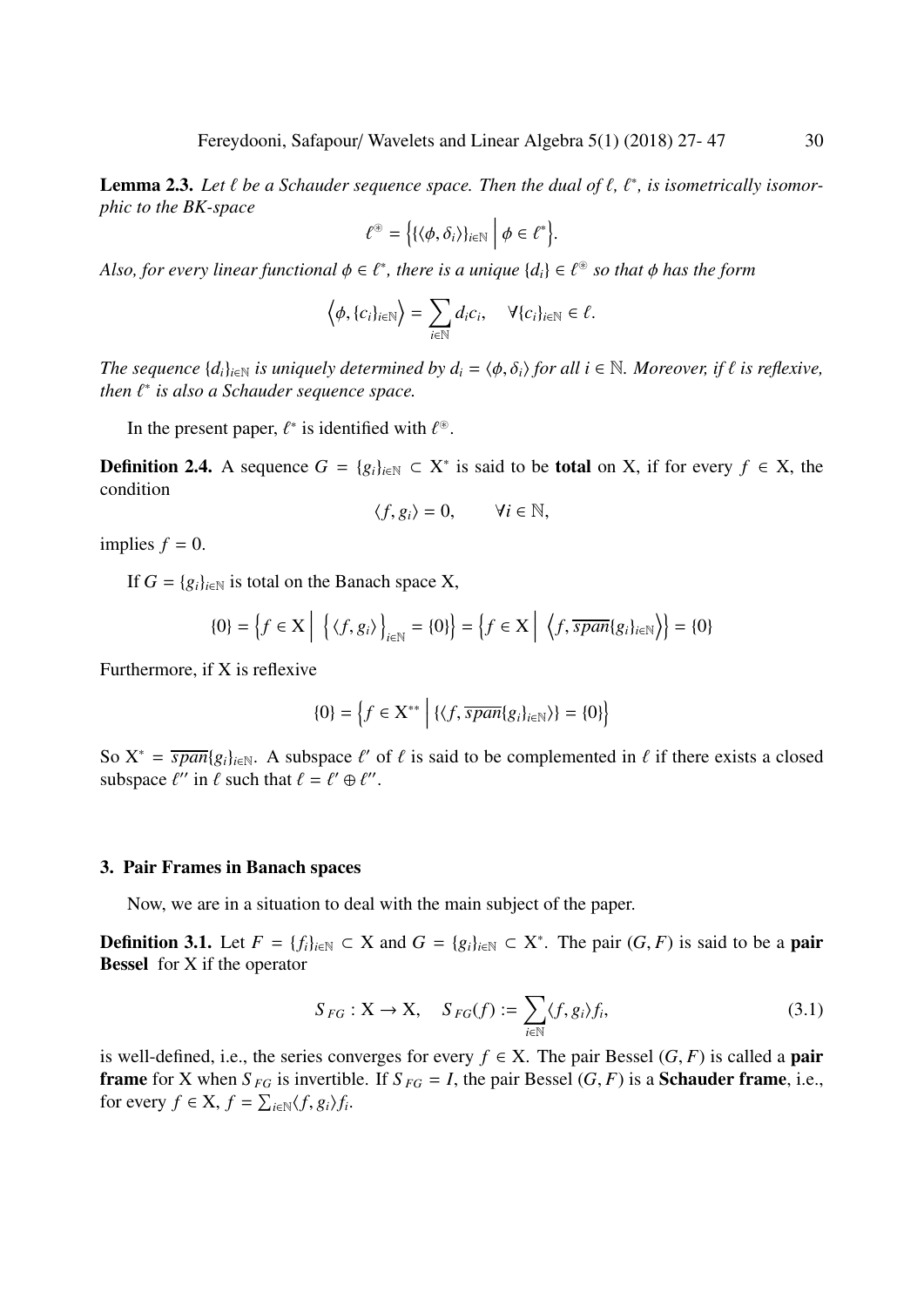<span id="page-3-2"></span>**Lemma 2.3.** Let  $\ell$  be a Schauder sequence space. Then the dual of  $\ell$ ,  $\ell^*$ , is isometrically isomor-<br>phic to the BK-space *phic to the BK-space*

$$
\ell^{\circledast} = \left\{ \{ \langle \phi, \delta_i \rangle \}_{i \in \mathbb{N}} \middle| \phi \in \ell^* \right\}
$$

Also, for every linear functional  $\phi \in \ell^*$ , there is a unique  $\{d_i\} \in \ell^*$  so that  $\phi$  has the form

$$
\langle \phi, \{c_i\}_{i \in \mathbb{N}} \rangle = \sum_{i \in \mathbb{N}} d_i c_i, \quad \forall \{c_i\}_{i \in \mathbb{N}} \in \ell.
$$

*The sequence*  $\{d_i\}_{i\in\mathbb{N}}$  *is uniquely determined by*  $d_i = \langle \phi, \delta_i \rangle$  *for all i*  $\in \mathbb{N}$ *. Moreover, if*  $\ell$  *is reflexive,*  $then  $\ell^*$  is also a Schauder sequence space.$ 

In the present paper,  $\ell^*$  is identified with  $\ell^*$ .

**Definition 2.4.** A sequence  $G = \{g_i\}_{i \in \mathbb{N}} \subset X^*$  is said to be **total** on X, if for every  $f \in X$ , the condition

$$
\langle f, g_i \rangle = 0, \qquad \forall i \in \mathbb{N},
$$

implies  $f = 0$ .

If  $G = \{g_i\}_{i \in \mathbb{N}}$  is total on the Banach space X,

$$
\{0\} = \left\{f \in \mathbf{X} \middle| \left\{ \left\langle f, g_i \right\rangle \right\}_{i \in \mathbb{N}} = \{0\} \right\} = \left\{f \in \mathbf{X} \middle| \left\langle f, \overline{span}\{g_i\}_{i \in \mathbb{N}} \right\rangle \right\} = \{0\}
$$

Furthermore, if X is reflexive

$$
\{0\} = \left\{f \in \mathbf{X}^{**} \mid \{ \langle f, \overline{span}\{g_i\}_{i \in \mathbb{N}} \rangle \} = \{0\} \right\}
$$

So  $X^* = \overline{span{g_i}_{i\in\mathbb{N}}}.$  A subspace  $\ell'$  of  $\ell$  is said to be complemented in  $\ell$  if there exists a closed subspace  $\ell''$  in  $\ell$  such that  $\ell - \ell' \oplus \ell''$ subspace  $\ell''$  in  $\ell$  such that  $\ell = \ell' \oplus \ell''$ .

#### <span id="page-3-0"></span>3. Pair Frames in Banach spaces

Now, we are in a situation to deal with the main subject of the paper.

**Definition 3.1.** Let *F* = {*f<sub>i</sub>*}<sub>*i*∈N</sub> ⊂ X and *G* = {*g<sub>i</sub>*}<sub>*i*∈N</sub> ⊂ X<sup>\*</sup>. The pair (*G*, *F*) is said to be a **pair Ressel** for X if the operator Bessel for X if the operator

<span id="page-3-1"></span>
$$
S_{FG}: X \to X, \quad S_{FG}(f) := \sum_{i \in \mathbb{N}} \langle f, g_i \rangle f_i,
$$
\n(3.1)

is well-defined, i.e., the series converges for every  $f \in X$ . The pair Bessel  $(G, F)$  is called a **pair frame** for X when  $S_{FG}$  is invertible. If  $S_{FG} = I$ , the pair Bessel  $(G, F)$  is a **Schauder frame**, i.e., for every  $f \in X$ ,  $f = \sum_{i \in \mathbb{N}} \langle f, g_i \rangle f_i$ .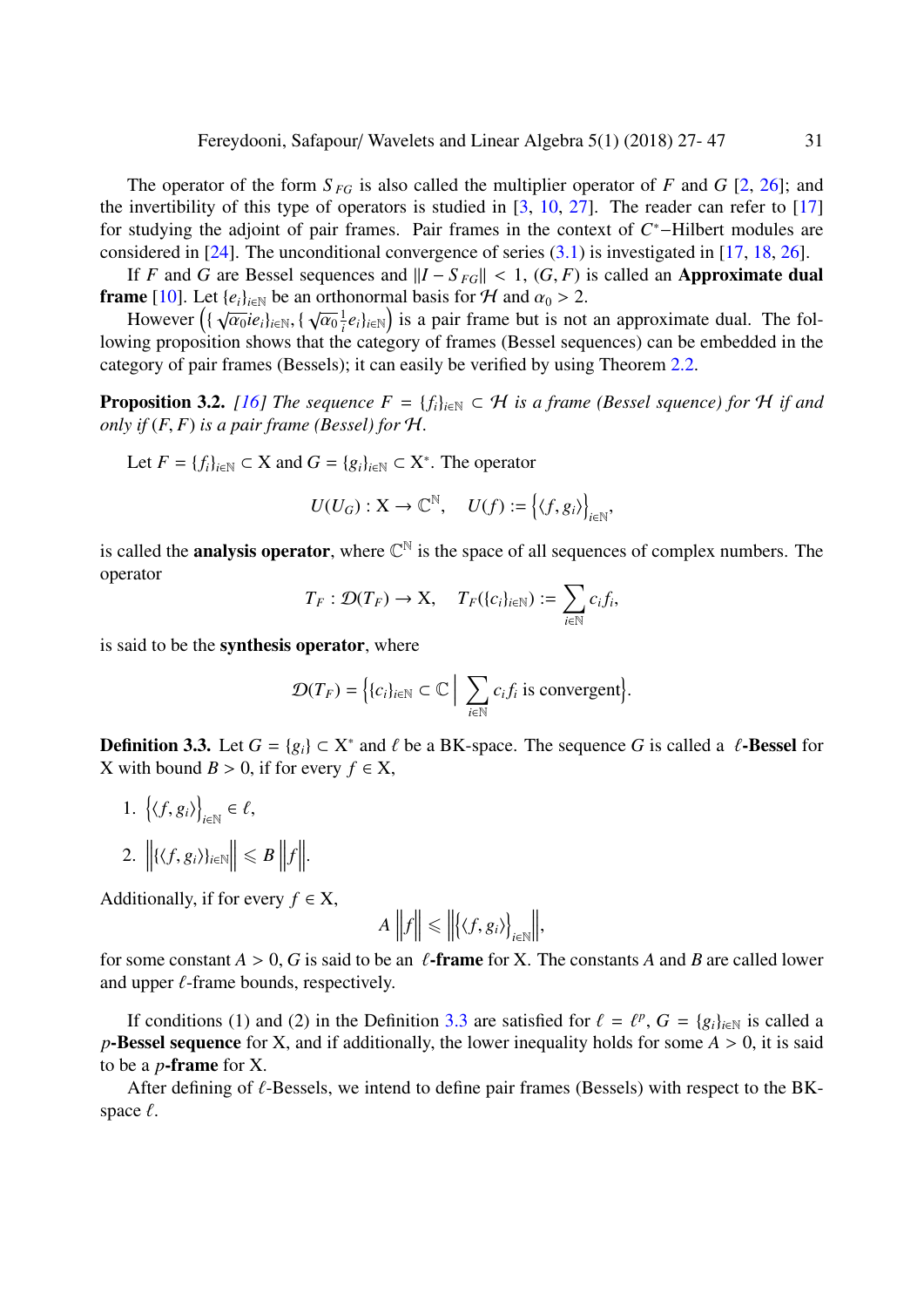The operator of the form  $S_{FG}$  is also called the multiplier operator of *F* and *G* [\[2,](#page-19-1) [26\]](#page-20-17); and the invertibility of this type of operators is studied in  $[3, 10, 27]$  $[3, 10, 27]$  $[3, 10, 27]$  $[3, 10, 27]$  $[3, 10, 27]$ . The reader can refer to  $[17]$ for studying the adjoint of pair frames. Pair frames in the context of *C*<sup>\*</sup>-Hilbert modules are considered in [\[24\]](#page-20-21). The unconditional convergence of series  $(3.1)$  is investigated in [\[17,](#page-20-20) [18,](#page-20-22) [26\]](#page-20-17).

If *F* and *G* are Bessel sequences and  $||I - S_{FG}|| < 1$ ,  $(G, F)$  is called an **Approximate dual frame** [\[10\]](#page-20-18). Let  $\{e_i\}_{i \in \mathbb{N}}$  be an orthonormal basis for  $H$  and  $\alpha_0 > 2$ .

However  $\left( {\sqrt{\alpha_0} i e_i} \right)_{i \in \mathbb{N}}, \left\{ {\sqrt{\alpha_0} \over i} \right\}$ <br>ing proposition shows that the However  $(\sqrt[n]{a_0}e_i)_{i\in\mathbb{N}}, \sqrt[n]{a_0}e_i|_{i\in\mathbb{N}}$  is a pair frame out is not an approximate dual. The following proposition shows that the category of frames (Bessel sequences) can be embedded in the  $\frac{1}{i}e_i\}_{i\in\mathbb{N}}$  is a pair frame but is not an approximate dual. The folcategory of pair frames (Bessels); it can easily be verified by using Theorem [2.2.](#page-2-1)

<span id="page-4-0"></span>**Proposition 3.2.** *[\[16\]](#page-20-14) The sequence*  $F = \{f_i\}_{i \in \mathbb{N}} \subset \mathcal{H}$  *is a frame (Bessel squence) for*  $\mathcal{H}$  *if and only if*  $(F, F)$  *is a pair frame (Bessel) for*  $H$ *.* 

Let  $F = \{f_i\}_{i \in \mathbb{N}} \subset X$  and  $G = \{g_i\}_{i \in \mathbb{N}} \subset X^*$ . The operator

$$
U(U_G): \mathbf{X} \to \mathbb{C}^{\mathbb{N}}, \quad U(f) := \left\{ \langle f, g_i \rangle \right\}_{i \in \mathbb{N}},
$$

is called the **analysis operator**, where  $\mathbb{C}^{\mathbb{N}}$  is the space of all sequences of complex numbers. The operator

$$
T_F: \mathcal{D}(T_F) \to \mathbf{X}, \quad T_F(\{c_i\}_{i \in \mathbb{N}}) := \sum_{i \in \mathbb{N}} c_i f_i,
$$

is said to be the synthesis operator, where

$$
\mathcal{D}(T_F) = \Big\{ \{c_i\}_{i \in \mathbb{N}} \subset \mathbb{C} \Big| \sum_{i \in \mathbb{N}} c_i f_i \text{ is convergent} \Big\}.
$$

<span id="page-4-1"></span>**Definition 3.3.** Let *G* = {*g<sub>i</sub>*} ⊂ X<sup>\*</sup> and  $\ell$  be a BK-space. The sequence *G* is called a  $\ell$ -Bessel for X with bound *B* > 0 if for every  $f \in X$ X with bound *B* > 0, if for every  $f \in X$ ,

- 1.  $\{(f, g_i)\}\$  $_{i\in\mathbb{N}}\in\ell,$
- 2.  $||\{(f, g_i)\}_{i \in \mathbb{N}}|| \leq B ||f||.$

Additionally, if for every  $f \in X$ ,

$$
A\left\|f\right\| \leq \left\|\left\langle \left\langle f, g_i \right\rangle \right\}_{i \in \mathbb{N}}\right\|,
$$

for some constant  $A > 0$ , G is said to be an  $\ell$ -frame for X. The constants A and B are called lower and upper  $\ell$ -frame bounds, respectively.

If conditions (1) and (2) in the Definition [3.3](#page-4-1) are satisfied for  $\ell = \ell^p$ ,  $G = \{g_i\}_{i \in \mathbb{N}}$  is called a<br>**Sessal sequence** for **X** and if additionally the lower inequality holds for some  $A > 0$  it is said *p*-Bessel sequence for X, and if additionally, the lower inequality holds for some  $A > 0$ , it is said to be a *p*-frame for X.

After defining of  $\ell$ -Bessels, we intend to define pair frames (Bessels) with respect to the BKspace  $\ell$ .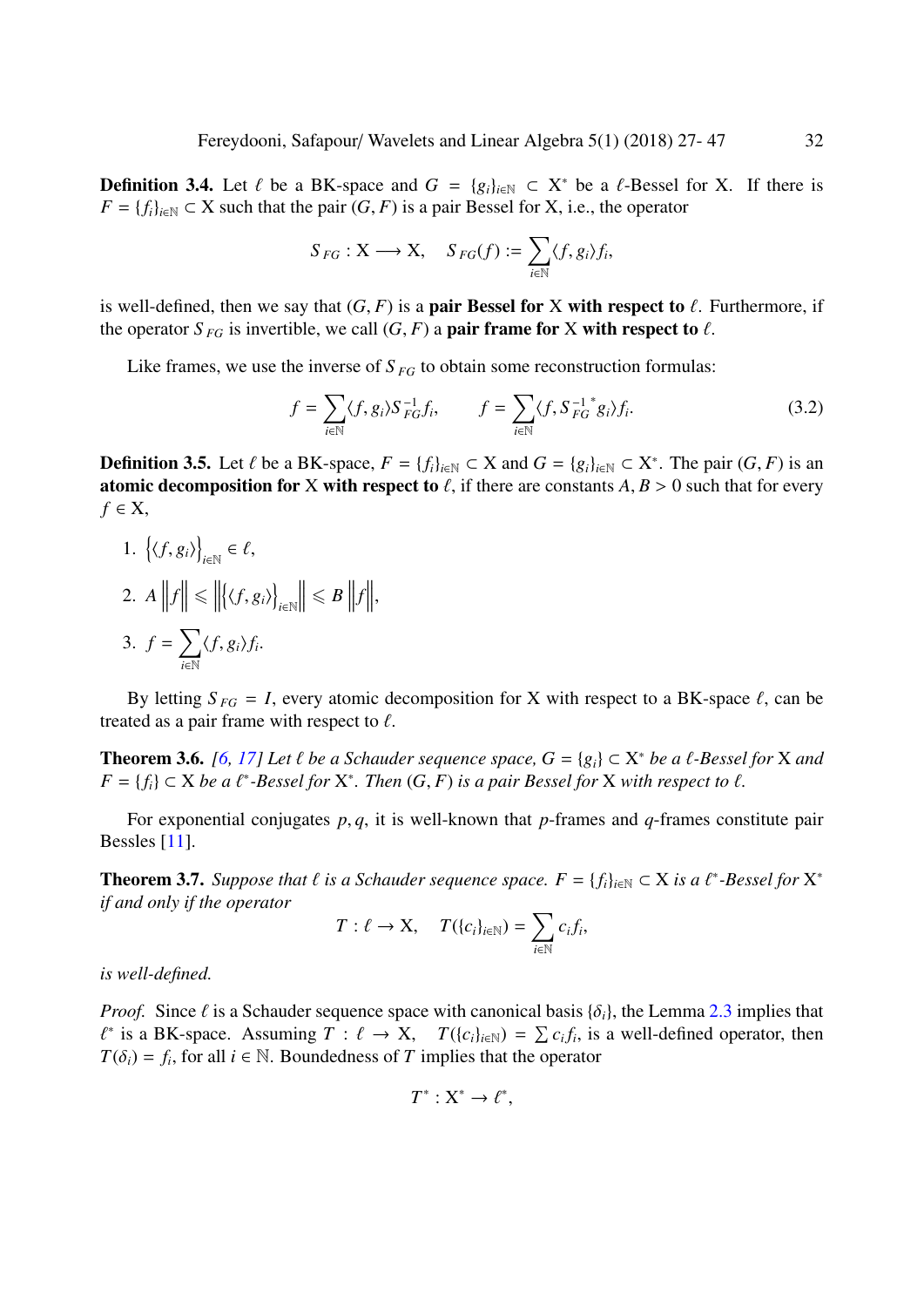**Definition 3.4.** Let  $\ell$  be a BK-space and  $G = \{g_i\}_{i \in \mathbb{N}} \subset X^*$  be a  $\ell$ -Bessel for X. If there is  $F = \{\ell_i\}_{i \in \mathbb{N}} \subset X$  such that the pair  $(G, F)$  is a pair Bessel for X i.e., the operator *F* = { $f_i$ }<sub>*i*∈N</sub> ⊂ X such that the pair (*G*, *F*) is a pair Bessel for X, i.e., the operator

$$
S_{FG}: \mathbf{X} \longrightarrow \mathbf{X}, \quad S_{FG}(f) := \sum_{i \in \mathbb{N}} \langle f, g_i \rangle f_i,
$$

is well-defined, then we say that  $(G, F)$  is a **pair Bessel for X with respect to**  $\ell$ . Furthermore, if the operator  $S_{FG}$  is invertible, we call  $(G, F)$  a **pair frame for** X with respect to  $\ell$ .

Like frames, we use the inverse of  $S_{FG}$  to obtain some reconstruction formulas:

<span id="page-5-1"></span>
$$
f = \sum_{i \in \mathbb{N}} \langle f, g_i \rangle S_{FG}^{-1} f_i, \qquad f = \sum_{i \in \mathbb{N}} \langle f, S_{FG}^{-1} g_i \rangle f_i.
$$
 (3.2)

**Definition 3.5.** Let  $\ell$  be a BK-space,  $F = \{f_i\}_{i \in \mathbb{N}} \subset X$  and  $G = \{g_i\}_{i \in \mathbb{N}} \subset X^*$ . The pair  $(G, F)$  is an atomic decomposition for  $X$  with respect to  $\ell$  if there are constants  $\Lambda$ ,  $R > 0$  such that for eve atomic decomposition for X with respect to  $\ell$ , if there are constants  $A, B > 0$  such that for every *f* ∈ X,

1.  $\{(f, g_i)\}\$  $_{i\in\mathbb{N}}\in\ell,$ 2.  $A \, \|f\| \leq \|$  $\big\{\langle f,g_i\rangle\big\}$ *i*∈N  $\|\leq B\,\|f\|,$ 3.  $f = \sum$  $\sum_{i\in\mathbb{N}}\langle f,g_i\rangle f_i.$ 

By letting  $S_{FG} = I$ , every atomic decomposition for X with respect to a BK-space  $\ell$ , can be treated as a pair frame with respect to  $\ell$ .

**Theorem 3.6.** *[\[6,](#page-20-10) [17\]](#page-20-20) Let l be a Schauder sequence space,*  $G = \{g_i\} \subset X^*$  *<i>be a l -Bessel for X and*  $F = \{f_i\} \subset X$  *be a l*<sup>∗</sup>-*Bessel for*  $X^*$  *Then*  $(G, F)$  *is a pair Bessel for X with respect to l*  $F = \{f_i\} \subset X$  *be a*  $\ell^*$ -Bessel for  $X^*$ . Then  $(G, F)$  *is a pair Bessel for*  $X$  *with respect to*  $\ell$ .

For exponential conjugates *<sup>p</sup>*, *<sup>q</sup>*, it is well-known that *<sup>p</sup>*-frames and *<sup>q</sup>*-frames constitute pair Bessles [\[11\]](#page-20-8).

<span id="page-5-0"></span>**Theorem 3.7.** *Suppose that*  $\ell$  *is a Schauder sequence space.*  $F = \{f_i\}_{i \in \mathbb{N}} \subset X$  *is a*  $\ell^*$ -Bessel for  $X^*$  *if and only if the operator if and only if the operator*

$$
T: \ell \to \mathbf{X}, \quad T(\{c_i\}_{i \in \mathbb{N}}) = \sum_{i \in \mathbb{N}} c_i f_i,
$$

*is well-defined.*

*Proof.* Since  $\ell$  is a Schauder sequence space with canonical basis  $\{\delta_i\}$ , the Lemma [2.3](#page-3-2) implies that  $T(\delta_i) = f_i$ , for all  $i \in \mathbb{N}$ . Boundedness of *T* implies that the operator <sup>\*</sup> is a BK-space. Assuming  $T : \ell \to X$ ,  $T({c_i}_{i \in \mathbb{N}}) = \sum_{i \in \mathbb{N}} c_i f_i$ , is a well-defined operator, then  $T(\delta) = f$  for all  $i \in \mathbb{N}$ . Boundedness of *T* implies that the operator.

$$
T^*: X^* \to \ell^*,
$$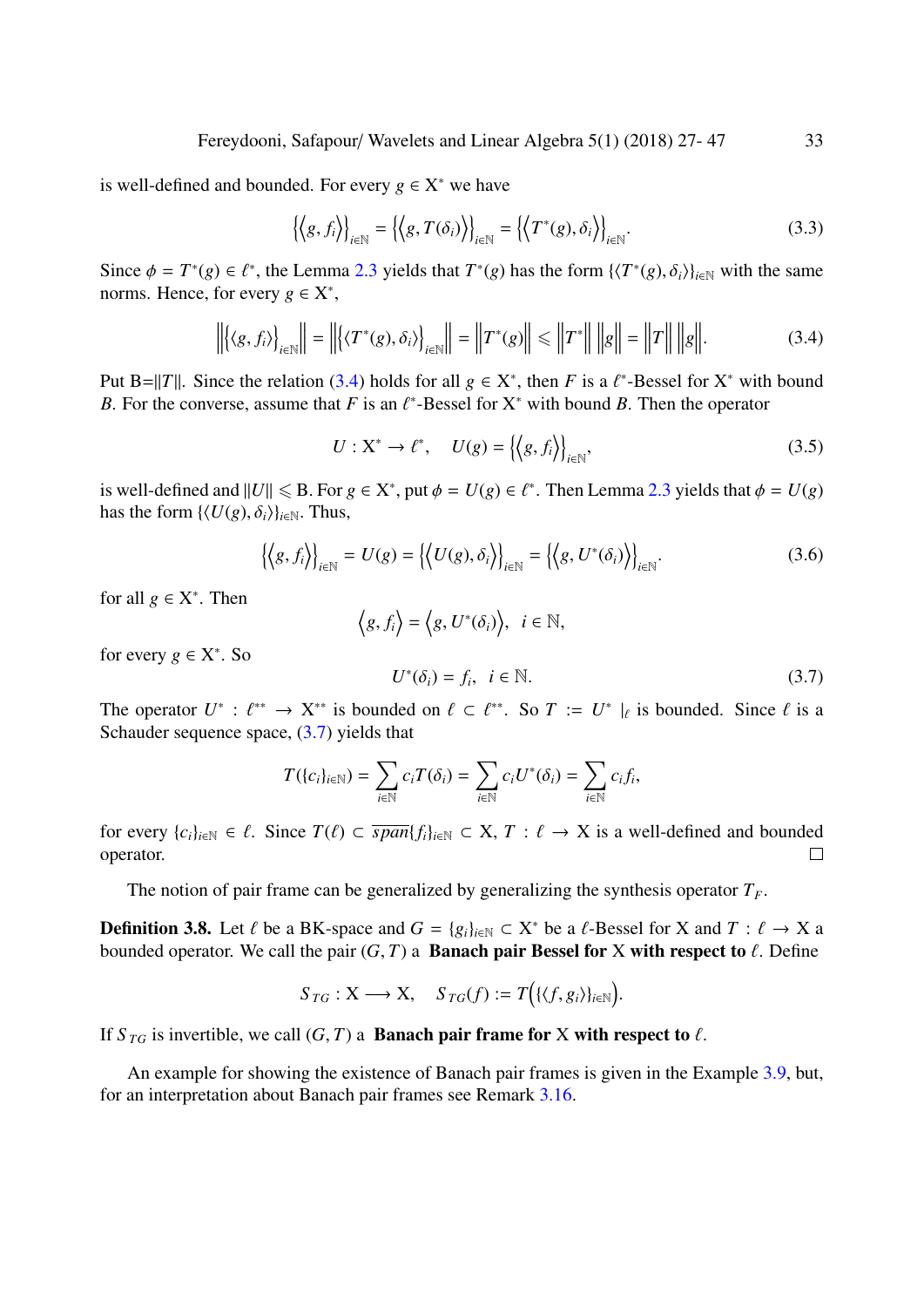is well-defined and bounded. For every  $g \in X^*$  we have

$$
\left\{ \left\langle g, f_i \right\rangle \right\}_{i \in \mathbb{N}} = \left\{ \left\langle g, T(\delta_i) \right\rangle \right\}_{i \in \mathbb{N}} = \left\{ \left\langle T^*(g), \delta_i \right\rangle \right\}_{i \in \mathbb{N}}.
$$
\n(3.3)

Since  $\phi = T^*(g) \in \ell^*$ , the Lemma [2.3](#page-3-2) yields that  $T^*(g)$  has the form  $\{\langle T^*(g), \delta_i \rangle\}_{i \in \mathbb{N}}$  with the same norms. Hence, for every  $g \in \mathbf{X}^*$ norms. Hence, for every  $g \in X^*$ ,

<span id="page-6-0"></span>
$$
\left\| \left\langle \langle g, f_i \rangle \right\rangle_{i \in \mathbb{N}} \right\| = \left\| \left\langle \langle T^*(g), \delta_i \rangle \right\rangle_{i \in \mathbb{N}} \right\| = \left\| T^*(g) \right\| \le \left\| T^* \right\| \left\| g \right\| = \left\| T \right\| \left\| g \right\|. \tag{3.4}
$$

Put B=||*T*||. Since the relation [\(3.4\)](#page-6-0) holds for all  $g \in X^*$ , then *F* is a  $\ell^*$ -Bessel for  $X^*$  with bound *B*. For the converse assume that *F* is an  $\ell^*$ -Bessel for  $X^*$  with bound *B*. Then the operator *B*. For the converse, assume that *F* is an  $\ell^*$ -Bessel for  $X^*$  with bound *B*. Then the operator

$$
U: \mathbf{X}^* \to \ell^*, \quad U(g) = \left\{ \left\langle g, f_i \right\rangle \right\}_{i \in \mathbb{N}}, \tag{3.5}
$$

is well-defined and  $||U|| \le B$ . For  $g \in X^*$ , put  $\phi = U(g) \in \ell^*$ . Then Lemma [2.3](#page-3-2) yields that  $\phi = U(g)$ <br>has the form  $U(U(g) \land \mathcal{S})$ , we Thus has the form  $\{\langle U(g), \delta_i \rangle\}_{i \in \mathbb{N}}$ . Thus,

$$
\left\{ \left\langle g, f_i \right\rangle \right\}_{i \in \mathbb{N}} = U(g) = \left\{ \left\langle U(g), \delta_i \right\rangle \right\}_{i \in \mathbb{N}} = \left\{ \left\langle g, U^*(\delta_i) \right\rangle \right\}_{i \in \mathbb{N}}.
$$
\n(3.6)

for all  $g \in X^*$ . Then

$$
\left\langle g, f_i \right\rangle = \left\langle g, U^*(\delta_i) \right\rangle, \ i \in \mathbb{N},
$$

for every  $g \in X^*$ . So

<span id="page-6-1"></span>
$$
U^*(\delta_i) = f_i, \quad i \in \mathbb{N}.\tag{3.7}
$$

The operator  $U^* : \ell^{**} \to X^{**}$  is bounded on  $\ell \subset \ell^{**}$ . So  $T := U^* \mid_{\ell}$  is bounded. Since  $\ell$  is a Schauder sequence space  $(3, 7)$  yields that Schauder sequence space,  $(3.7)$  yields that

$$
T(\{c_i\}_{i\in\mathbb{N}})=\sum_{i\in\mathbb{N}}c_iT(\delta_i)=\sum_{i\in\mathbb{N}}c_iU^*(\delta_i)=\sum_{i\in\mathbb{N}}c_if_i,
$$

for every  $\{c_i\}_{i\in\mathbb{N}} \in \ell$ . Since  $T(\ell) \subset \overline{span}\{f_i\}_{i\in\mathbb{N}} \subset X$ ,  $T : \ell \to X$  is a well-defined and bounded operator. operator.

The notion of pair frame can be generalized by generalizing the synthesis operator  $T_F$ .

**Definition 3.8.** Let  $\ell$  be a BK-space and  $G = \{g_i\}_{i \in \mathbb{N}} \subset X^*$  be a  $\ell$ -Bessel for X and  $T : \ell \to X$  a bounded operator. We call the pair  $(G, T)$  a **Banach pair Bessel for X with respect to**  $\ell$ . Define bounded operator. We call the pair  $(G, T)$  a **Banach pair Bessel for** X with respect to  $\ell$ . Define

$$
S_{TG}: X \longrightarrow X
$$
,  $S_{TG}(f) := T((\langle f, g_i \rangle)_{i \in \mathbb{N}})$ .

If  $S_{TG}$  is invertible, we call  $(G, T)$  a **Banach pair frame for** X with respect to  $\ell$ .

An example for showing the existence of Banach pair frames is given in the Example [3.9,](#page-7-0) but, for an interpretation about Banach pair frames see Remark [3.16.](#page-11-1)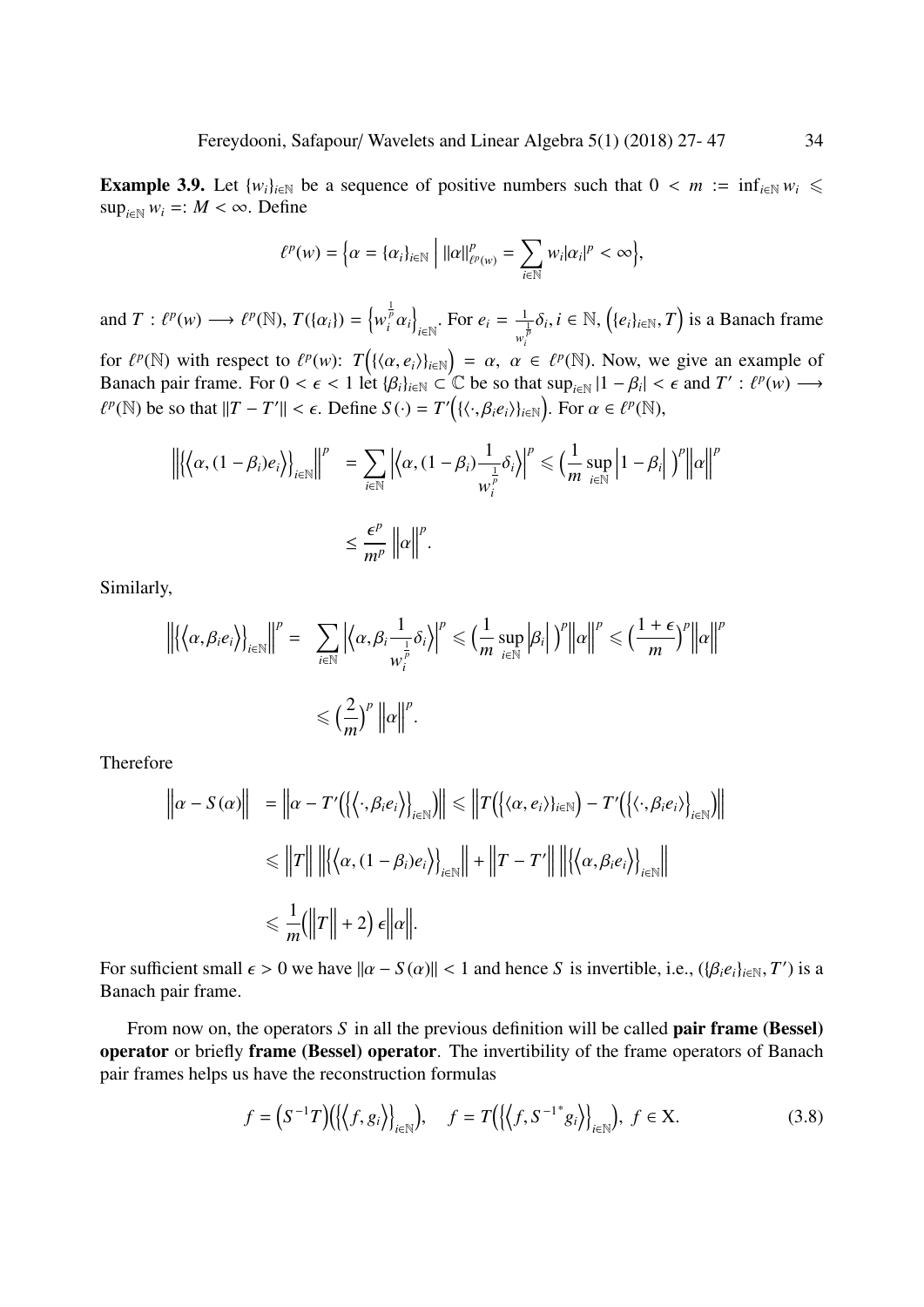<span id="page-7-0"></span>**Example 3.9.** Let  $\{w_i\}_{i\in\mathbb{N}}$  be a sequence of positive numbers such that  $0 < m := \inf_{i\in\mathbb{N}} w_i \le$  $\sup_{i \in \mathbb{N}} w_i =: M < \infty$ . Define

$$
\ell^p(w) = \Big\{\alpha = \{\alpha_i\}_{i \in \mathbb{N}} \Big| ||\alpha||^p_{\ell^p(w)} = \sum_{i \in \mathbb{N}} w_i |\alpha_i|^p < \infty \Big\},\
$$

and  $T: \ell^p(w) \longrightarrow \ell^p(\mathbb{N}), T(\{\alpha_i\}) = \left\{ w_i^{\frac{1}{p}} \alpha_i \right\}$ o  $\sum_{i \in \mathbb{N}}$ . For  $e_i = \frac{1}{w_i^i}$  $\frac{1}{w_i^{\frac{1}{p}}} \delta_i$ ,  $i \in \mathbb{N}$ ,  $\left(\{e_i\}_{i \in \mathbb{N}}, T\right)$  is a Banach frame *i*

for  $\ell^p(\mathbb{N})$  with respect to  $\ell^p(w)$ :  $T\left(\{\langle \alpha, e_i \rangle\}_{i \in \mathbb{N}}\right) = \alpha$ ,  $\alpha \in \ell^p(\mathbb{N})$ . Now, we give an example of Banach pair frame. For  $0 \le \epsilon \le 1$  let  $\{\beta_i\}_{i \in \mathbb{N}} \subset \mathbb{C}$  be so that sup  $[1 - \beta_i] \le \epsilon$  and Banach pair frame. For  $0 < \epsilon < 1$  let  $\{\beta_i\}_{i \in \mathbb{N}} \subset \mathbb{C}$  be so that  $\sup_{i \in \mathbb{N}} |1 - \beta_i| < \epsilon$  and  $T' : \ell^p(w) \longrightarrow$  $P(\mathbb{N})$  be so that  $||T - T'|| < \epsilon$ . Define  $S(\cdot) = T'(\{\langle \cdot, \beta_i e_i \rangle\}_{i \in \mathbb{N}})$ . For  $\alpha \in \ell^p(\mathbb{N})$ ,

$$
\left\| \left\{ \left\langle \alpha, (1 - \beta_i) e_i \right\rangle \right\}_{i \in \mathbb{N}} \right\|^p = \sum_{i \in \mathbb{N}} \left| \left\langle \alpha, (1 - \beta_i) \frac{1}{w_i^{\frac{1}{p}}} \delta_i \right\rangle \right|^p \leq \left( \frac{1}{m} \sup_{i \in \mathbb{N}} \left| 1 - \beta_i \right| \right)^p \left\| \alpha \right\|^p
$$
  

$$
\leq \frac{\epsilon^p}{m^p} \left\| \alpha \right\|^p.
$$

Similarly,

$$
\left\| \left\{ \left\langle \alpha, \beta_i e_i \right\rangle \right\}_{i \in \mathbb{N}} \right\|^p = \sum_{i \in \mathbb{N}} \left| \left\langle \alpha, \beta_i \frac{1}{w_i^{\frac{1}{p}}} \delta_i \right\rangle \right|^p \leq \left( \frac{1}{m} \sup_{i \in \mathbb{N}} \left| \beta_i \right| \right)^p \left\| \alpha \right\|^p \leq \left( \frac{1 + \epsilon}{m} \right)^p \left\| \alpha \right\|^p
$$
  

$$
\leq \left( \frac{2}{m} \right)^p \left\| \alpha \right\|^p.
$$

Therefore

$$
\begin{aligned}\n\left\| \alpha - S(\alpha) \right\| &= \left\| \alpha - T' \big( \big\{ \langle \cdot, \beta_i e_i \rangle \big\}_{i \in \mathbb{N}} \big) \right\| \leq \left\| T \big( \big\{ \langle \alpha, e_i \rangle \}_{i \in \mathbb{N}} \big) - T' \big( \big\{ \langle \cdot, \beta_i e_i \rangle \big\}_{i \in \mathbb{N}} \big) \right\| \\
&\leq \left\| T \right\| \left\| \big\{ \big\{ \alpha, (1 - \beta_i) e_i \big\} \big\}_{i \in \mathbb{N}} \right\| + \left\| T - T' \right\| \left\| \big\{ \big\{ \alpha, \beta_i e_i \big\} \big\}_{i \in \mathbb{N}} \right\| \\
&\leq \frac{1}{m} \big( \left\| T \right\| + 2 \big) \epsilon \left\| \alpha \right\|.\n\end{aligned}
$$

For sufficient small  $\epsilon > 0$  we have  $\|\alpha - S(\alpha)\| < 1$  and hence *S* is invertible, i.e.,  $(\{\beta_i e_i\}_{i \in \mathbb{N}}, T')$  is a Banach pair frame Banach pair frame.

From now on, the operators *S* in all the previous definition will be called **pair frame** (**Bessel**) operator or briefly frame (Bessel) operator. The invertibility of the frame operators of Banach pair frames helps us have the reconstruction formulas

<span id="page-7-1"></span>
$$
f = (S^{-1}T)(\langle\langle f, g_i \rangle\rangle_{i \in \mathbb{N}}), \quad f = T(\langle\langle f, S^{-1}^* g_i \rangle\rangle_{i \in \mathbb{N}}), \ f \in \mathbf{X}.
$$
 (3.8)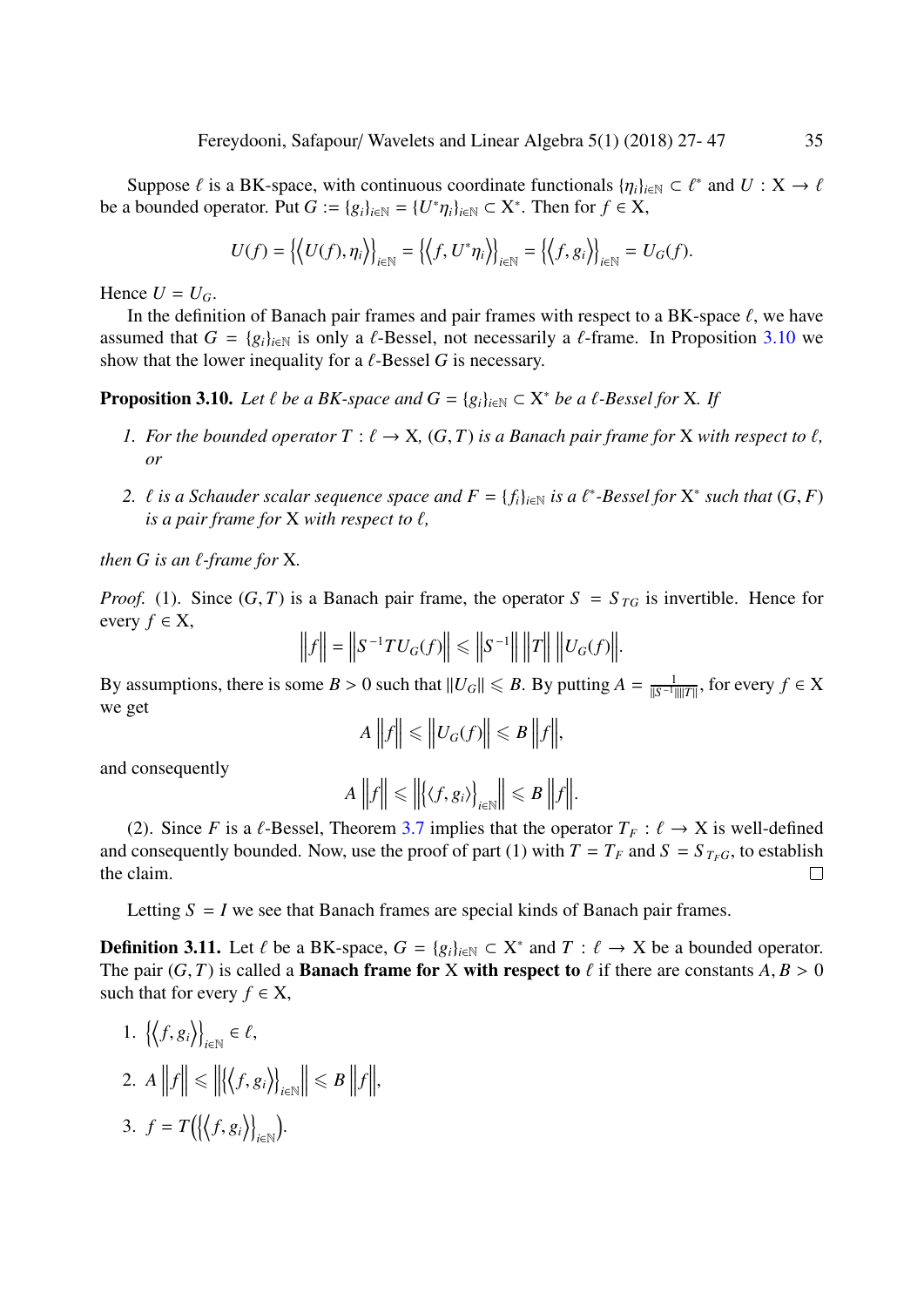Suppose  $\ell$  is a BK-space, with continuous coordinate functionals  $\{\eta_i\}_{i\in\mathbb{N}} \subset \ell^*$  and  $U : X \to \ell$ <br>A bounded operator. Put  $G := \{\rho_i\}_{i\in\mathbb{N}} \subset \{X^*\}$ . Then for  $f \in X$ be a bounded operator. Put *G* := { $g_i$ }<sub>*i*∈N</sub> = {*U*<sup>\*</sup> $\eta_i$ }<sub>*i*∈N</sub> ⊂ X<sup>\*</sup>. Then for *f* ∈ X,

$$
U(f) = \left\{ \left\langle U(f), \eta_i \right\rangle \right\}_{i \in \mathbb{N}} = \left\{ \left\langle f, U^* \eta_i \right\rangle \right\}_{i \in \mathbb{N}} = \left\{ \left\langle f, g_i \right\rangle \right\}_{i \in \mathbb{N}} = U_G(f).
$$

Hence  $U = U_G$ .

In the definition of Banach pair frames and pair frames with respect to a BK-space  $\ell$ , we have assumed that  $G = \{g_i\}_{i \in \mathbb{N}}$  is only a  $\ell$ -Bessel, not necessarily a  $\ell$ -frame. In Proposition [3.10](#page-8-0) we show that the lower inequality for a  $\ell$ -Bessel *G* is necessary.

<span id="page-8-0"></span>**Proposition 3.10.** *Let*  $\ell$  *be a BK-space and*  $G = \{g_i\}_{i \in \mathbb{N}} \subset X^*$  *be a*  $\ell$ *-Bessel for* X*. If* 

- *1.* For the bounded operator  $T : \ell \to X$ ,  $(G, T)$  is a Banach pair frame for X with respect to  $\ell$ , *or*
- *2.*  $\ell$  *is a Schauder scalar sequence space and*  $F = \{f_i\}_{i \in \mathbb{N}}$  *is a*  $\ell^*$ -Bessel for  $X^*$  such that  $(G, F)$  *is a pair frame for*  $X$  with respect to  $\ell$ *is a pair frame for*  $X$  *with respect to*  $\ell$ *,*

*then G is an*  $\ell$ *-frame for* X*.* 

*Proof.* (1). Since  $(G, T)$  is a Banach pair frame, the operator  $S = S_{TG}$  is invertible. Hence for every  $f \in X$ ,

$$
\|f\| = \|S^{-1}TU_G(f)\| \le \|S^{-1}\| \|T\| \|U_G(f)\|.
$$

By assumptions, there is some *B* > 0 such that  $||U_G|| \le B$ . By putting  $A = \frac{1}{||S^{-1}||}$  $\frac{1}{\|S^{-1}\| \|T\|}$ , for every *f* ∈ X we get

$$
A\left\|f\right\| \leq \left\|U_G(f)\right\| \leq B\left\|f\right\|,
$$

and consequently

$$
A\left\|f\right\| \leq \left\|\left\langle \left\langle f, g_i \right\rangle \right\}_{i \in \mathbb{N}}\right\| \leq B\left\|f\right\|.
$$

(2). Since *F* is a  $\ell$ -Bessel, Theorem [3.7](#page-5-0) implies that the operator  $T_F : \ell \to X$  is well-defined and consequently bounded. Now, use the proof of part (1) with  $T = T_F$  and  $S = S_{T_F}$ , to establish the claim.  $\Box$ 

Letting  $S = I$  we see that Banach frames are special kinds of Banach pair frames.

**Definition 3.11.** Let  $\ell$  be a BK-space,  $G = \{g_i\}_{i \in \mathbb{N}} \subset X^*$  and  $T : \ell \to X$  be a bounded operator.<br>The pair  $(G, T)$  is called a **Banach frame for X with respect to**  $\ell$  if there are constants  $A, B \ge 0$ The pair  $(G, T)$  is called a **Banach frame for** X with respect to  $\ell$  if there are constants  $A, B > 0$ such that for every  $f \in X$ ,

1. 
$$
\left\{ \left\langle f, g_i \right\rangle \right\}_{i \in \mathbb{N}} \in \ell
$$
,  
2.  $A \left\| f \right\| \le \left\| \left\{ \left\langle f, g_i \right\rangle \right\}_{i \in \mathbb{N}} \right\| \le B \left\| f \right\|$ ,

$$
3. \, f = T\big(\big\{\big\langle f, g_i\big\rangle\big\}_{i\in\mathbb{N}}\big).
$$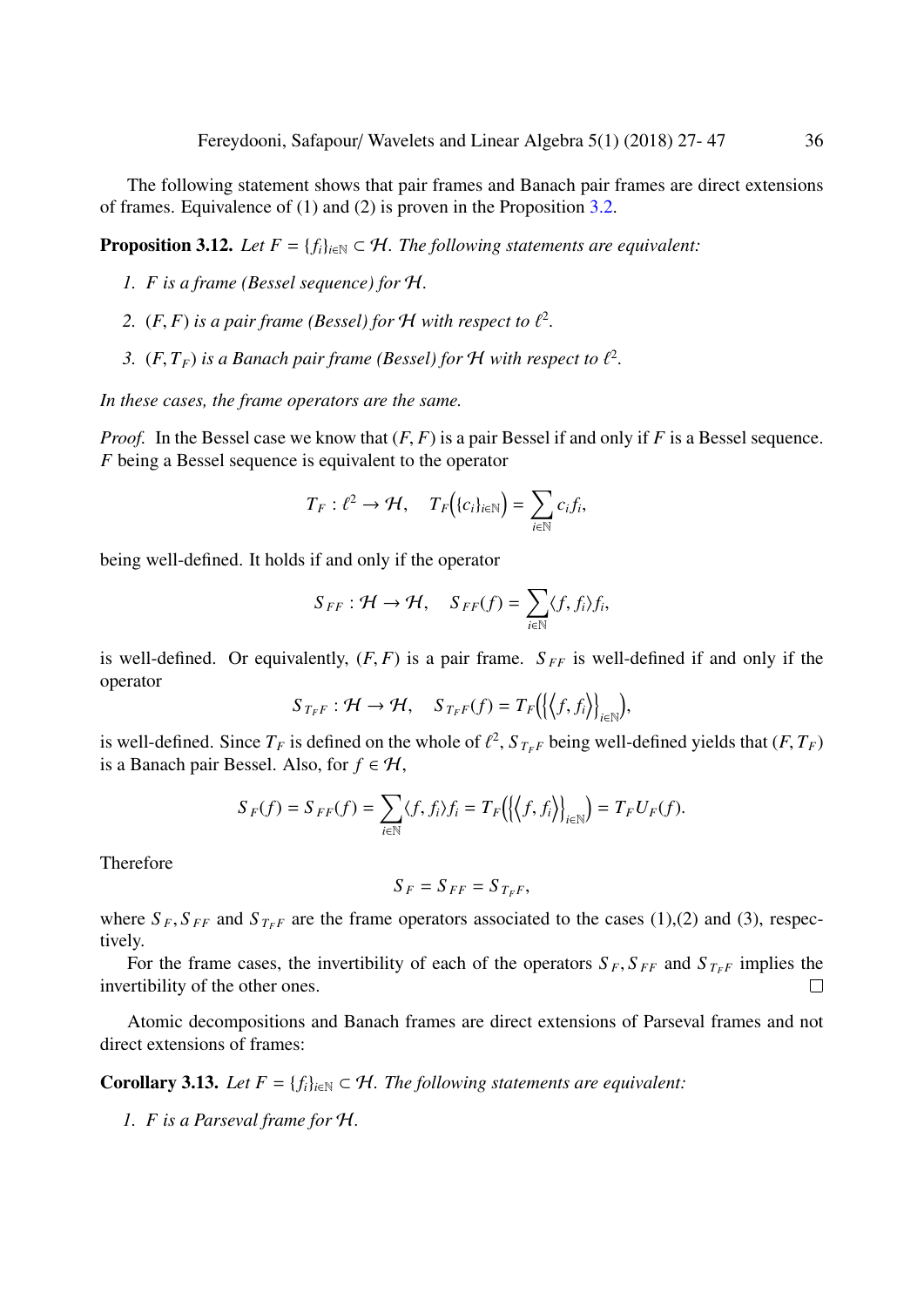The following statement shows that pair frames and Banach pair frames are direct extensions of frames. Equivalence of (1) and (2) is proven in the Proposition [3.2.](#page-4-0)

<span id="page-9-0"></span>**Proposition 3.12.** *Let*  $F = \{f_i\}_{i \in \mathbb{N}} \subset \mathcal{H}$ *. The following statements are equivalent:* 

- *1. F is a frame (Bessel sequence) for* H*.*
- 2.  $(F, F)$  *is a pair frame (Bessel) for H with respect to*  $\ell^2$ *.*
- 3.  $(F, T_F)$  *is a Banach pair frame (Bessel) for*  $H$  *with respect to*  $\ell^2$ *.*

*In these cases, the frame operators are the same.*

*Proof.* In the Bessel case we know that  $(F, F)$  is a pair Bessel if and only if F is a Bessel sequence. *F* being a Bessel sequence is equivalent to the operator

$$
T_F: \ell^2 \to \mathcal{H}, \quad T_F\big(\{c_i\}_{i\in\mathbb{N}}\big) = \sum_{i\in\mathbb{N}} c_i f_i,
$$

being well-defined. It holds if and only if the operator

$$
S_{FF}: \mathcal{H} \to \mathcal{H}, \quad S_{FF}(f) = \sum_{i \in \mathbb{N}} \langle f, f_i \rangle f_i,
$$

is well-defined. Or equivalently,  $(F, F)$  is a pair frame.  $S_{FF}$  is well-defined if and only if the operator

$$
S_{T_{F}F}: \mathcal{H} \to \mathcal{H}, \quad S_{T_{F}F}(f) = T_{F}(\{\langle f, f_{i} \rangle\}_{i \in \mathbb{N}}),
$$

is well-defined. Since  $T_F$  is defined on the whole of  $\ell^2$ ,  $S_{T_F}$  being well-defined yields that  $(F, T_F)$ <br>is a Banach pair Bessel. Also, for  $f \in H$ is a Banach pair Bessel. Also, for  $f \in H$ ,

$$
S_F(f) = S_{FF}(f) = \sum_{i \in \mathbb{N}} \langle f, f_i \rangle f_i = T_F(\langle f, f_i \rangle)_{i \in \mathbb{N}} = T_F U_F(f).
$$

Therefore

$$
S_F = S_{FF} = S_{T_F F},
$$

where  $S_F$ ,  $S_{FF}$  and  $S_{T_F}$  are the frame operators associated to the cases (1),(2) and (3), respectively.

For the frame cases, the invertibility of each of the operators  $S_F$ ,  $S_{FF}$  and  $S_{TF}$  implies the invertibility of the other ones.

Atomic decompositions and Banach frames are direct extensions of Parseval frames and not direct extensions of frames:

<span id="page-9-1"></span>**Corollary 3.13.** *Let*  $F = \{f_i\}_{i \in \mathbb{N}} \subset \mathcal{H}$ *. The following statements are equivalent:* 

*1. F is a Parseval frame for* H*.*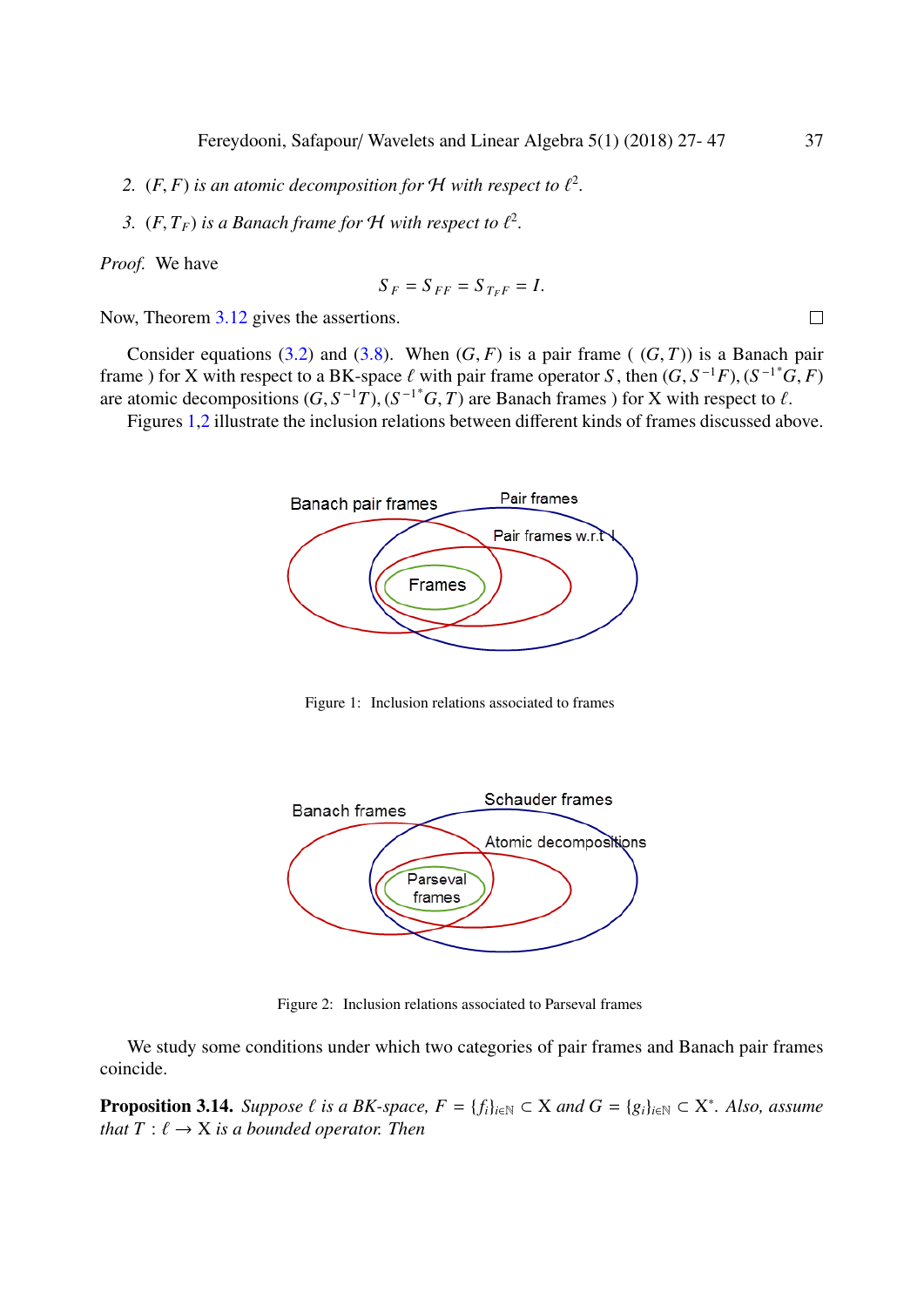- 2.  $(F, F)$  *is an atomic decomposition for*  $H$  *with respect to*  $\ell^2$ *.*
- 3.  $(F, T_F)$  *is a Banach frame for H with respect to*  $\ell^2$ *.*

*Proof.* We have

$$
S_F = S_{FF} = S_{T_F F} = I.
$$

Now, Theorem [3.12](#page-9-0) gives the assertions.

Consider equations [\(3.2\)](#page-5-1) and [\(3.8\)](#page-7-1). When  $(G, F)$  is a pair frame ( $(G, T)$ ) is a Banach pair frame ) for X with respect to a BK-space  $\ell$  with pair frame operator *S*, then  $(G, S^{-1}F)$ ,  $(S^{-1*}G, F)$ <br>are atomic decompositions  $(G, S^{-1}T)$ ,  $(S^{-1*}G, T)$  are Banach frames) for X with respect to  $\ell$ are atomic decompositions  $(G, S^{-1}T)$ ,  $(S^{-1*}G, T)$  are Banach frames) for X with respect to  $\ell$ .<br>Figures 1.2 illustrate the inclusion relations between different kinds of frames discussed ab

Figures [1](#page-10-0)[,2](#page-10-1) illustrate the inclusion relations between different kinds of frames discussed above.



<span id="page-10-0"></span>Figure 1: Inclusion relations associated to frames



<span id="page-10-1"></span>Figure 2: Inclusion relations associated to Parseval frames

We study some conditions under which two categories of pair frames and Banach pair frames coincide.

<span id="page-10-2"></span>**Proposition 3.14.** *Suppose*  $\ell$  *is a BK-space,*  $F = \{f_i\}_{i \in \mathbb{N}} \subset X$  *and*  $G = \{g_i\}_{i \in \mathbb{N}} \subset X^*$ *. Also, assume* that  $T : \ell \to X$  *is a hounded operator. Then that*  $T : \ell \rightarrow X$  *is a bounded operator. Then*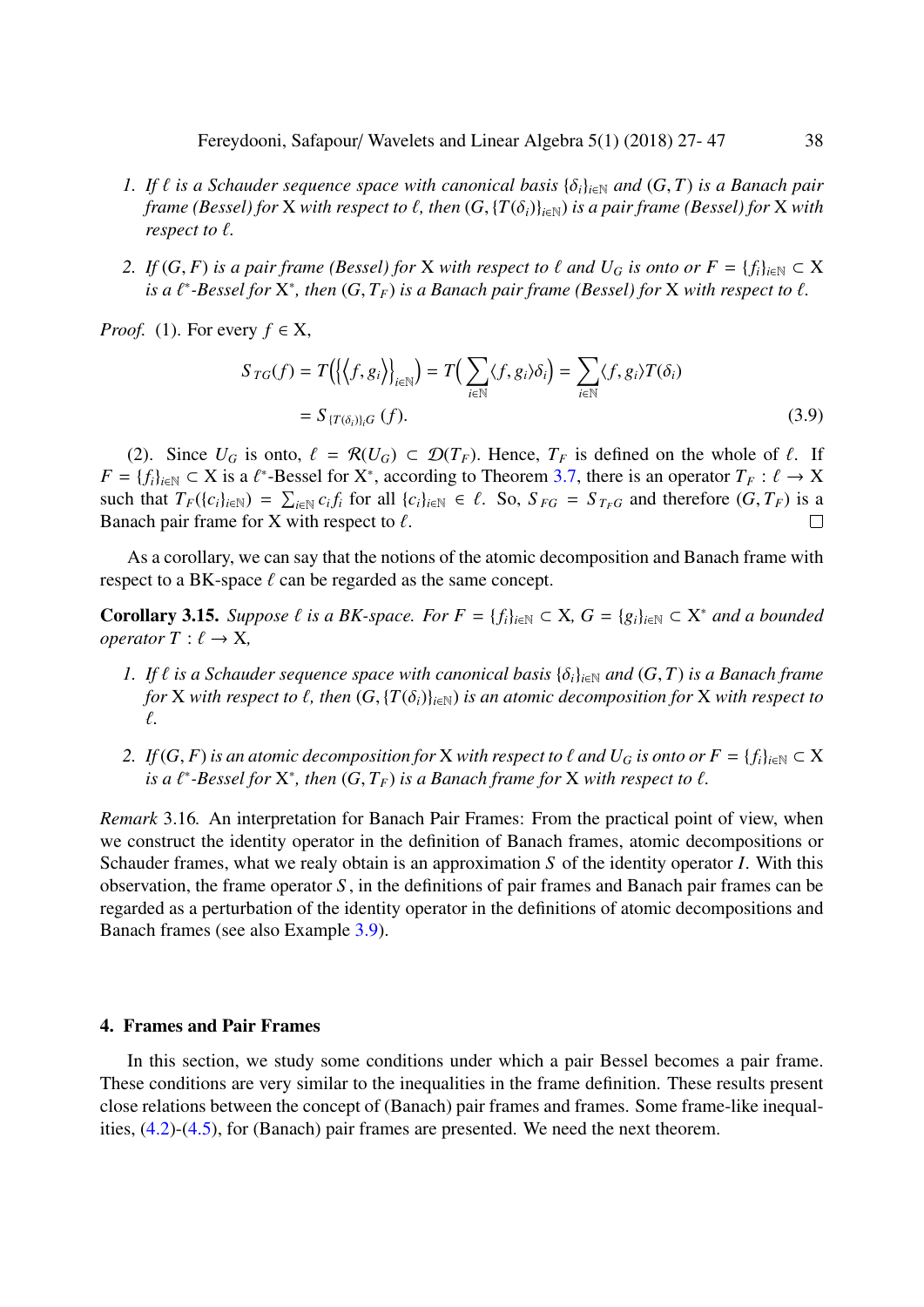- *1.* If  $\ell$  is a Schauder sequence space with canonical basis  $\{\delta_i\}_{i\in\mathbb{N}}$  and  $(G, T)$  is a Banach pair *frame (Bessel) for* X *with respect to*  $\ell$ *, then*  $(G, {T(\delta_i)}_{i \in \mathbb{N}})$  *is a pair frame (Bessel) for* X *with respect to*  $\ell$ *.*
- *2. If*  $(G, F)$  *is a pair frame (Bessel) for* X *with respect to*  $\ell$  *and*  $U_G$  *is onto or*  $F = \{f_i\}_{i \in \mathbb{N}} \subset X$ *is a*  $\ell^*$ -Bessel for  $X^*$ , then  $(G, T_F)$  *is a Banach pair frame (Bessel) for*  $X$  *with respect to*  $\ell$ .

*Proof.* (1). For every  $f \in X$ ,

$$
S_{TG}(f) = T\Big(\Big\{\Big\langle f, g_i \Big\rangle\Big\}_{i \in \mathbb{N}}\Big) = T\Big(\sum_{i \in \mathbb{N}} \langle f, g_i \rangle \delta_i\Big) = \sum_{i \in \mathbb{N}} \langle f, g_i \rangle T(\delta_i)
$$
  
=  $S_{\{T(\delta_i)\}_i G}(f).$  (3.9)

(2). Since  $U_G$  is onto,  $\ell = \mathcal{R}(U_G) \subset \mathcal{D}(T_F)$ . Hence,  $T_F$  is defined on the whole of  $\ell$ . If  $F = \{f_i\}_{i \in \mathbb{N}} \subset X$  is a  $\ell^*$ -Bessel for  $X^*$ , according to Theorem [3.7,](#page-5-0) there is an operator  $T_F : \ell \to X$ <br>such that  $T_F(\ell_G)_{F \in \mathbb{N}} \subset \Sigma_{F}$  of for all  $\ell_G$ ,  $\mathbb{N}_F \subset \ell$ . So  $S_{F} = S_{F}$  and therefore  $(G, T_F)$  is a such that  $T_F(\{c_i\}_{i\in\mathbb{N}}) = \sum_{i\in\mathbb{N}} c_i f_i$  for all  $\{c_i\}_{i\in\mathbb{N}} \in \ell$ . So,  $S_{FG} = S_{T_F G}$  and therefore  $(G, T_F)$  is a Banach pair frame for X with respect to  $\ell$ Banach pair frame for X with respect to  $\ell$ .

As a corollary, we can say that the notions of the atomic decomposition and Banach frame with respect to a BK-space  $\ell$  can be regarded as the same concept.

**Corollary 3.15.** *Suppose*  $\ell$  *is a BK-space. For*  $F = \{f_i\}_{i \in \mathbb{N}} \subset X$ ,  $G = \{g_i\}_{i \in \mathbb{N}} \subset X^*$  *and a bounded operator*  $T : \ell \to X$ *operator*  $T : \ell \rightarrow X$ ,

- *1. If*  $\ell$  *is a Schauder sequence space with canonical basis*  $\{\delta_i\}_{i\in\mathbb{N}}$  *and*  $(G, T)$  *is a Banach frame for* X *with respect to*  $\ell$ *, then*  $(G, {T(\delta_i)}_{i \in \mathbb{N}})$  *is an atomic decomposition for* X *with respect to* `*.*
- *2. If*  $(G, F)$  *is an atomic decomposition for* X *with respect to*  $\ell$  *and*  $U_G$  *is onto or*  $F = \{f_i\}_{i \in \mathbb{N}} \subset X$ *is a*  $\ell^*$ -Bessel for  $X^*$ , then  $(G, T_F)$  *is a Banach frame for*  $X$  *with respect to*  $\ell$ .

<span id="page-11-1"></span>*Remark* 3.16*.* An interpretation for Banach Pair Frames: From the practical point of view, when we construct the identity operator in the definition of Banach frames, atomic decompositions or Schauder frames, what we realy obtain is an approximation *S* of the identity operator *I*. With this observation, the frame operator *S* , in the definitions of pair frames and Banach pair frames can be regarded as a perturbation of the identity operator in the definitions of atomic decompositions and Banach frames (see also Example [3.9\)](#page-7-0).

#### <span id="page-11-0"></span>4. Frames and Pair Frames

In this section, we study some conditions under which a pair Bessel becomes a pair frame. These conditions are very similar to the inequalities in the frame definition. These results present close relations between the concept of (Banach) pair frames and frames. Some frame-like inequalities, [\(4.2\)](#page-13-0)-[\(4.5\)](#page-14-0), for (Banach) pair frames are presented. We need the next theorem.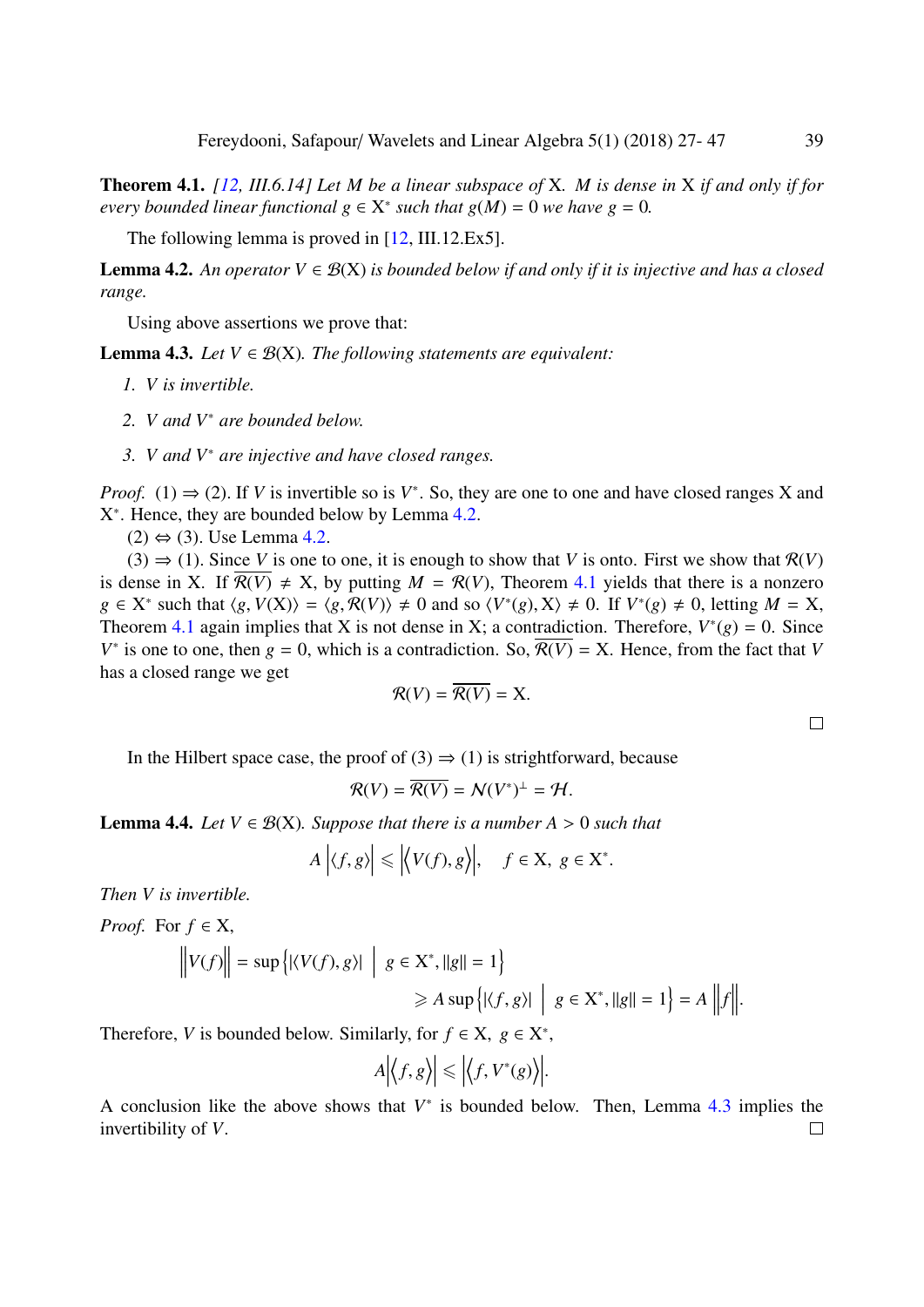<span id="page-12-1"></span>Theorem 4.1. *[\[12,](#page-20-23) III.6.14] Let M be a linear subspace of* X*. M is dense in* X *if and only if for every bounded linear functional*  $g \in X^*$  *such that*  $g(M) = 0$  *we have*  $g = 0$ *.* 

The following lemma is proved in [\[12,](#page-20-23) III.12.Ex5].

<span id="page-12-0"></span>**Lemma 4.2.** An operator  $V \in \mathcal{B}(X)$  is bounded below if and only if it is injective and has a closed *range.*

Using above assertions we prove that:

<span id="page-12-2"></span>**Lemma 4.3.** *Let*  $V \in \mathcal{B}(X)$ *. The following statements are equivalent:* 

- *1. V is invertible.*
- *2. V and V*<sup>∗</sup> *are bounded below.*
- *3. V and V*<sup>∗</sup> *are injective and have closed ranges.*

*Proof.* (1)  $\Rightarrow$  (2). If *V* is invertible so is *V*<sup>\*</sup>. So, they are one to one and have closed ranges X and  $X^*$ . Hence they are bounded below by Lemma 4.2. X ∗ . Hence, they are bounded below by Lemma [4.2.](#page-12-0)

 $(2) \Leftrightarrow (3)$ . Use Lemma [4.2.](#page-12-0)

 $(3) \Rightarrow (1)$ . Since *V* is one to one, it is enough to show that *V* is onto. First we show that  $\mathcal{R}(V)$ is dense in X. If  $\overline{R(V)} \neq X$ , by putting  $M = R(V)$ , Theorem [4.1](#page-12-1) yields that there is a nonzero  $g \in X^*$  such that  $\langle g, V(X) \rangle = \langle g, \mathcal{R}(V) \rangle \neq 0$  and so  $\langle V^*(g), X \rangle \neq 0$ . If  $V^*(g) \neq 0$ , letting  $M = X$ ,<br>Theorem 4.1 again implies that *X* is not dense in *X*: a contradiction. Therefore,  $V^*(g) = 0$ , Since Theorem [4.1](#page-12-1) again implies that X is not dense in X; a contradiction. Therefore,  $V^*(g) = 0$ . Since  $V^*$  is one to one, then *g* = 0, which is a contradiction. So,  $\overline{\mathcal{R}(V)}$  = X. Hence, from the fact that *V* has a closed range we get

$$
\mathcal{R}(V) = \mathcal{R}(V) = \mathbf{X}.
$$

In the Hilbert space case, the proof of (3)  $\Rightarrow$  (1) is strightforward, because

$$
\mathcal{R}(V) = \overline{\mathcal{R}(V)} = \mathcal{N}(V^*)^{\perp} = \mathcal{H}.
$$

<span id="page-12-3"></span>**Lemma 4.4.** *Let*  $V \in \mathcal{B}(X)$ *. Suppose that there is a number A > 0 such that* 

$$
A | \langle f, g \rangle | \le | \langle V(f), g \rangle |, \quad f \in X, \ g \in X^*.
$$

*Then V is invertible.*

*Proof.* For  $f \in X$ ,

$$
\|V(f)\| = \sup\left\{| \langle V(f), g \rangle | \mid g \in \mathbf{X}^*, ||g|| = 1 \right\}
$$
  
\n
$$
\geq A \sup \left\{| \langle f, g \rangle | \mid g \in \mathbf{X}^*, ||g|| = 1 \right\} = A \|f\|.
$$

Therefore, *V* is bounded below. Similarly, for  $f \in X$ ,  $g \in X^*$ ,

$$
A \Big| \Big\langle f, g \Big\rangle \Big| \leq \Big| \Big\langle f, V^*(g) \Big\rangle \Big|
$$

A conclusion like the above shows that  $V^*$  is bounded below. Then, Lemma  $4.3$  implies the invertibility of *V*. $\Box$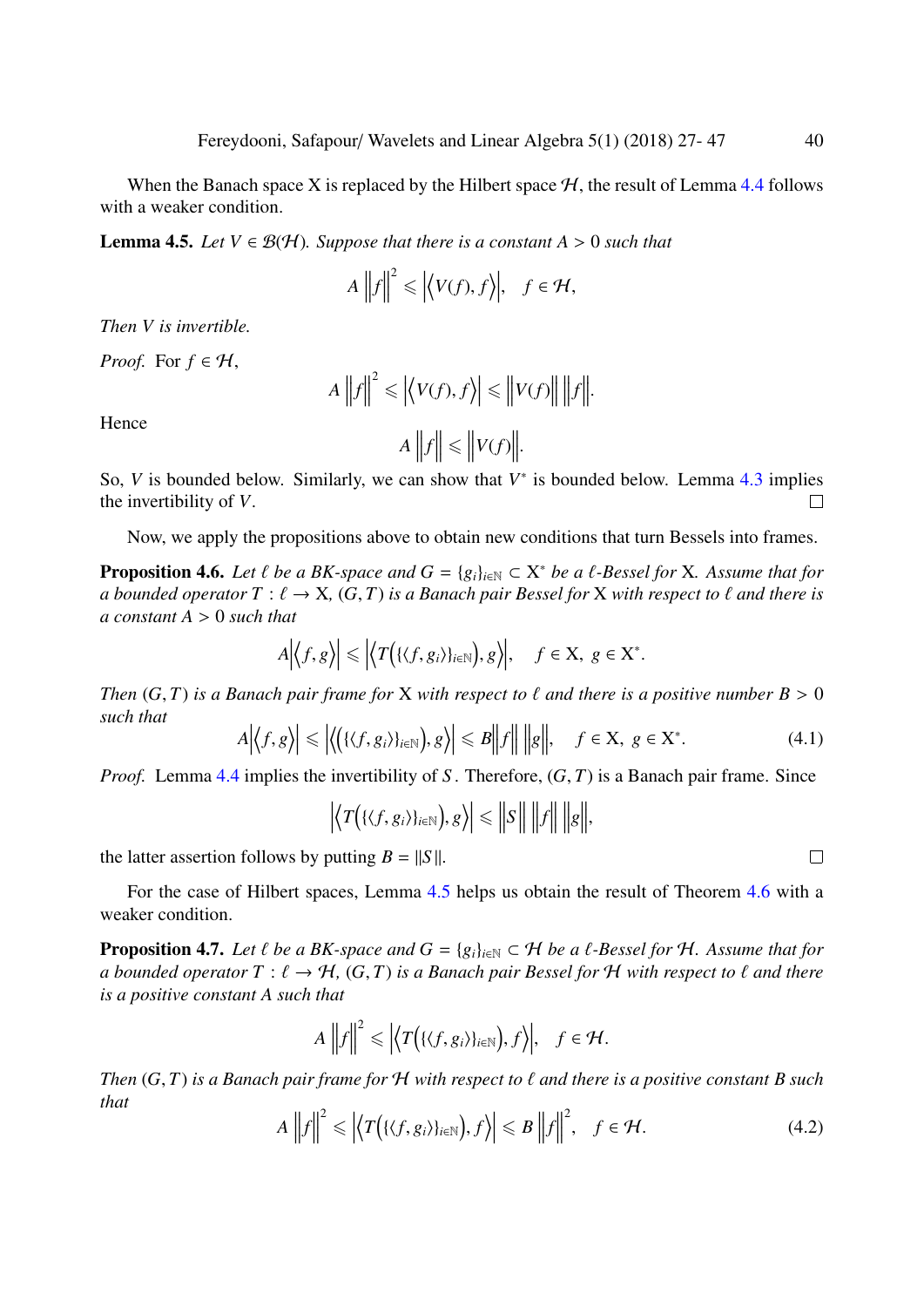When the Banach space X is replaced by the Hilbert space  $H$ , the result of Lemma [4.4](#page-12-3) follows with a weaker condition.

<span id="page-13-1"></span>**Lemma 4.5.** *Let*  $V \in \mathcal{B}(\mathcal{H})$ *. Suppose that there is a constant A* > 0 *such that* 

$$
A\left\|f\right\|^2 \leq \left|\left\langle V(f), f\right\rangle\right|, \quad f \in \mathcal{H},
$$

*Then V is invertible.*

*Proof.* For  $f \in H$ ,

$$
A\left\|f\right\|^2 \leq \left|\left\langle V(f), f\right\rangle\right| \leq \left\|V(f)\right\| \left\|f\right\|.
$$

Hence

$$
A\bigg\|f\bigg\| \leq \bigg\|V(f)\bigg\|.
$$

So,  $V$  is bounded below. Similarly, we can show that  $V^*$  is bounded below. Lemma [4.3](#page-12-2) implies the invertibility of *V*.  $\Box$ 

Now, we apply the propositions above to obtain new conditions that turn Bessels into frames.

<span id="page-13-2"></span>**Proposition 4.6.** *Let*  $\ell$  *be a BK-space and*  $G = \{g_i\}_{i \in \mathbb{N}} \subset X^*$  *be a*  $\ell$ *-Bessel for* X*. Assume that for* a hounded operator  $T : \ell \to X$  (G T) is a Banach pair Bessel for X with respect to  $\ell$  and there is *a bounded operator*  $T : \ell \to X$ ,  $(G, T)$  *is a Banach pair Bessel for* X *with respect to*  $\ell$  *and there is a constant A* > <sup>0</sup> *such that*

$$
A\Big|\big\langle f,g\big\rangle\Big|\leq \Big|\big\langle T\Big(\{\langle f,g_i\rangle\}_{i\in\mathbb{N}}\Big),g\big\rangle\Big|,\quad f\in\mathbf{X},\ g\in\mathbf{X}^*.
$$

*Then*  $(G, T)$  *is a Banach pair frame for* X *with respect to*  $\ell$  *and there is a positive number*  $B > 0$ *such that*

$$
A\Big|\big\langle f,g\big\rangle\Big|\leq \Big|\big\langle \big(\{\langle f,g_i\rangle\}_{i\in\mathbb{N}}\big),g\big\rangle\Big|\leq B\Big|\Big|f\Big|\Big|\Big|\Big|g\Big|\Big|, \quad f\in\mathbf{X},\ g\in\mathbf{X}^*.\tag{4.1}
$$

*Proof.* Lemma [4.4](#page-12-3) implies the invertibility of *S*. Therefore,  $(G, T)$  is a Banach pair frame. Since

$$
\left|\left\langle T\big(\{\langle f,g_i\rangle\}_{i\in\mathbb{N}}\big),g\right\rangle\right|\leq\left\|S\right\|\,\left\|f\right\|\,\left\|g\right\|,
$$

the latter assertion follows by putting  $B = ||S||$ .

For the case of Hilbert spaces, Lemma [4.5](#page-13-1) helps us obtain the result of Theorem [4.6](#page-13-2) with a weaker condition.

**Proposition 4.7.** *Let*  $\ell$  *be a BK-space and*  $G = \{g_i\}_{i \in \mathbb{N}} \subset \mathcal{H}$  *be a*  $\ell$ *-Bessel for*  $\mathcal{H}$ *. Assume that for a bounded operator*  $T : \ell \to H$ ,  $(G, T)$  *is a Banach pair Bessel for*  $H$  *with respect to*  $\ell$  *and there is a positive constant A such that*

$$
A\left\|f\right\|^2 \leq \left|\left\langle T\big(\{\langle f,g_i\rangle\}_{i\in\mathbb{N}}\big),f\right\rangle\right|,\quad f\in\mathcal{H}.
$$

*Then* (*G*, *<sup>T</sup>*) *is a Banach pair frame for* <sup>H</sup> *with respect to* ` *and there is a positive constant B such that*

<span id="page-13-0"></span>
$$
A\left\|f\right\|^2 \leq \left|\left\langle T\big(\{\langle f,g_i\rangle\}_{i\in\mathbb{N}}\big),f\right\rangle\right| \leq B\left\|f\right\|^2, \quad f \in \mathcal{H}.\tag{4.2}
$$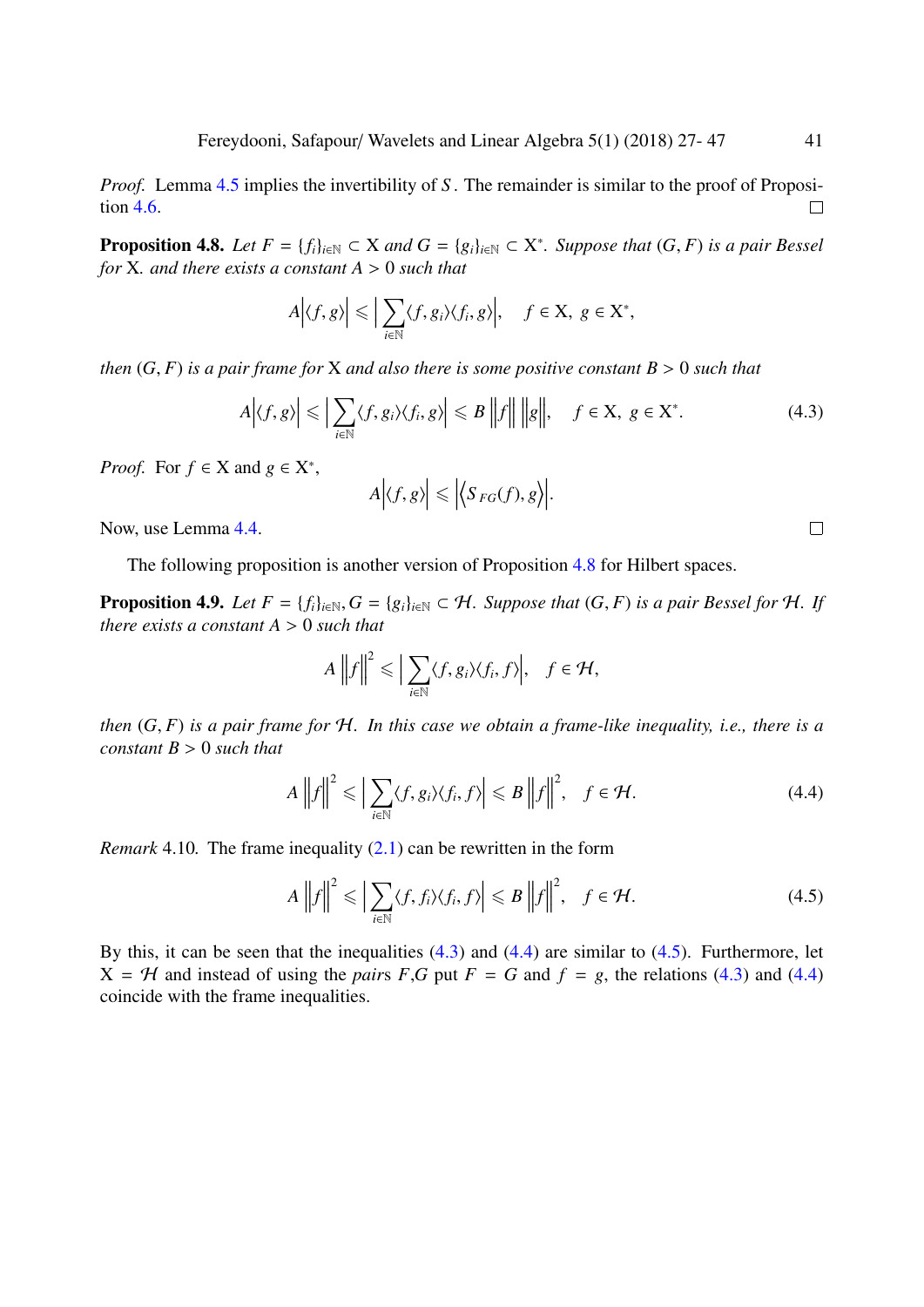*Proof.* Lemma [4.5](#page-13-1) implies the invertibility of *S*. The remainder is similar to the proof of Proposition [4.6.](#page-13-2)  $\Box$ 

<span id="page-14-2"></span>**Proposition 4.8.** *Let*  $F = \{f_i\}_{i \in \mathbb{N}} \subset X$  *and*  $G = \{g_i\}_{i \in \mathbb{N}} \subset X^*$ *. Suppose that*  $(G, F)$  *is a pair Bessel* for *X and there exists a constant*  $A > 0$  *such that for* <sup>X</sup>*. and there exists a constant A* > <sup>0</sup> *such that*

$$
A\Big|\langle f,g\rangle\Big|\leqslant\Big|\sum_{i\in\mathbb{N}}\langle f,g_i\rangle\langle f_i,g\rangle\Big|,\quad f\in\mathbf{X},\ g\in\mathbf{X}^*,
$$

*then*  $(G, F)$  *is a pair frame for* X *and also there is some positive constant*  $B > 0$  *such that* 

<span id="page-14-3"></span>
$$
A\Big|\langle f,g\rangle\Big| \leqslant \Big|\sum_{i\in\mathbb{N}}\langle f,g_i\rangle\langle f_i,g\rangle\Big| \leqslant B\,\Big|\Big|f\Big|\Big|\,\Big|\Big|g\Big|\Big|,\quad f\in\mathcal{X},\ g\in\mathcal{X}^*.\tag{4.3}
$$

*Proof.* For  $f \in X$  and  $g \in X^*$ ,

$$
A\Big|\langle f,g\rangle\Big|\leq \Big|\Big\langle S_{FG}(f),g\Big\rangle\Big|
$$

Now, use Lemma [4.4.](#page-12-3)

The following proposition is another version of Proposition [4.8](#page-14-2) for Hilbert spaces.

**Proposition 4.9.** *Let*  $F = \{f_i\}_{i \in \mathbb{N}}, G = \{g_i\}_{i \in \mathbb{N}} \subset \mathcal{H}$ *. Suppose that*  $(G, F)$  *is a pair Bessel for*  $\mathcal{H}$ *. If there exists a constant A* > <sup>0</sup> *such that*

$$
A\left\|f\right\|^2 \leqslant \Big|\sum_{i\in\mathbb{N}}\langle f,g_i\rangle\langle f_i,f\rangle\Big|,\quad f\in\mathcal{H},
$$

*then* (*G*, *<sup>F</sup>*) *is a pair frame for* <sup>H</sup>*. In this case we obtain a frame-like inequality, i.e., there is a constant B* > <sup>0</sup> *such that*

<span id="page-14-4"></span>
$$
A\left\|f\right\|^2 \leqslant \left|\sum_{i\in\mathbb{N}}\langle f,g_i\rangle\langle f_i,f\rangle\right| \leqslant B\left\|f\right\|^2, \quad f\in\mathcal{H}.\tag{4.4}
$$

<span id="page-14-1"></span>*Remark* 4.10*.* The frame inequality [\(2.1\)](#page-2-0) can be rewritten in the form

<span id="page-14-0"></span>
$$
A\left\|f\right\|^2 \leqslant \left|\sum_{i\in\mathbb{N}}\langle f,f_i\rangle\langle f_i,f\rangle\right| \leqslant B\left\|f\right\|^2, \quad f\in\mathcal{H}.\tag{4.5}
$$

By this, it can be seen that the inequalities  $(4.3)$  and  $(4.4)$  are similar to  $(4.5)$ . Furthermore, let  $X = H$  and instead of using the *pairs F*,*G* put  $F = G$  and  $f = g$ , the relations [\(4.3\)](#page-14-3) and [\(4.4\)](#page-14-4) coincide with the frame inequalities.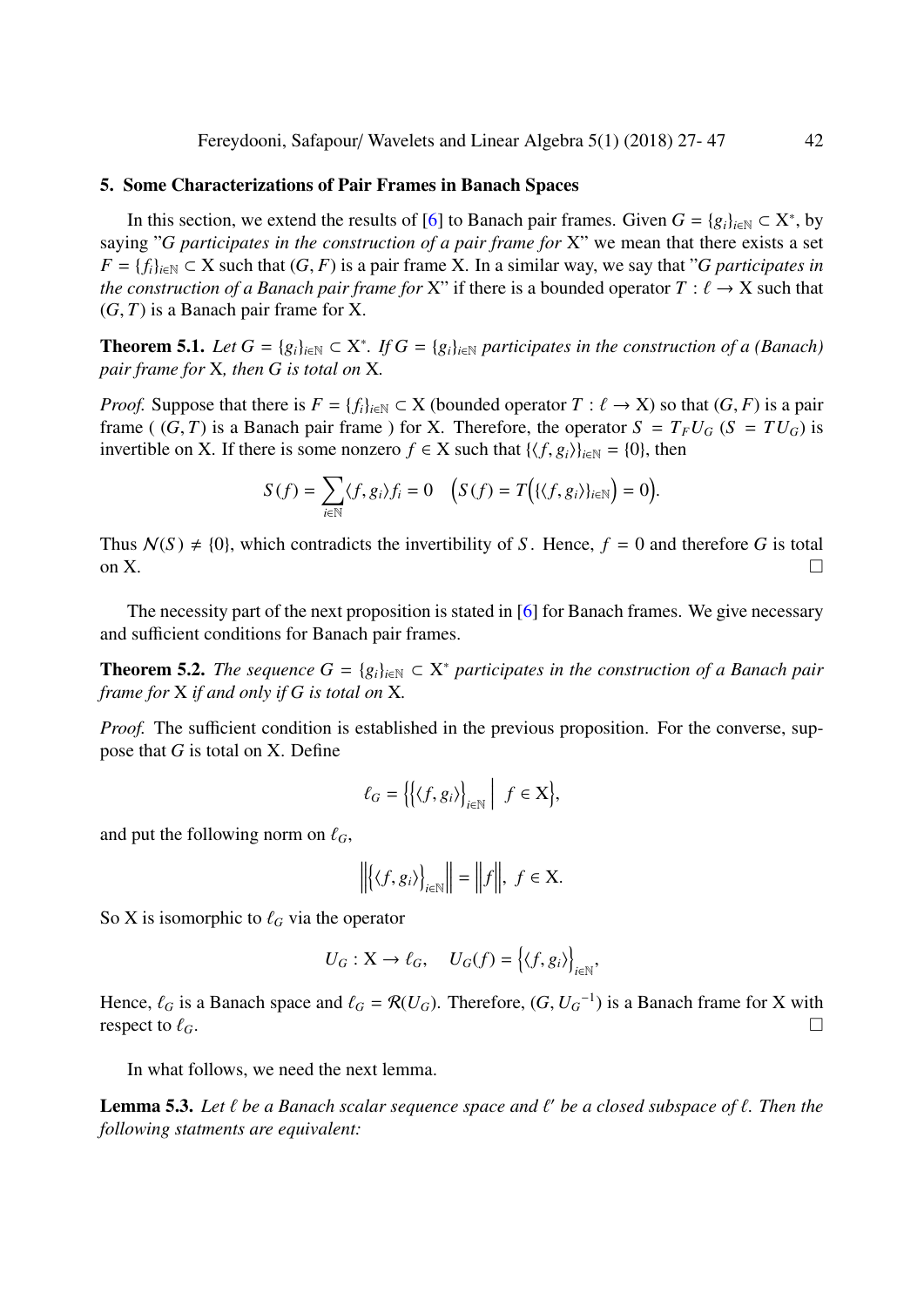#### <span id="page-15-0"></span>5. Some Characterizations of Pair Frames in Banach Spaces

In this section, we extend the results of [\[6\]](#page-20-10) to Banach pair frames. Given  $G = \{g_i\}_{i \in \mathbb{N}} \subset X^*$ , by saying "*G participates in the construction of a pair frame for* X" we mean that there exists a set  $F = \{f_i\}_{i \in \mathbb{N}} \subset X$  such that  $(G, F)$  is a pair frame X. In a similar way, we say that "*G participates in the construction of a Banach pair frame for* X" if there is a bounded operator  $T : \ell \to X$  such that (*G*, *<sup>T</sup>*) is a Banach pair frame for X.

**Theorem 5.1.** *Let*  $G = \{g_i\}_{i \in \mathbb{N}} \subset X^*$ . *If*  $G = \{g_i\}_{i \in \mathbb{N}}$  participates in the construction of a (Banach) *pair frame for* X*, then G is total on* X*.*

*Proof.* Suppose that there is  $F = \{f_i\}_{i \in \mathbb{N}} \subset X$  (bounded operator  $T : \ell \to X$ ) so that  $(G, F)$  is a pair frame ((*G*, *T*) is a Banach pair frame) for X. Therefore, the operator  $S = T_F U_G$  ( $S = T U_G$ ) is invertible on X. If there is some nonzero  $f \in X$  such that  $\{\langle f, g_i \rangle\}_{i \in \mathbb{N}} = \{0\}$ , then

$$
S(f) = \sum_{i \in \mathbb{N}} \langle f, g_i \rangle f_i = 0 \quad \left( S(f) = T\Big(\{\langle f, g_i \rangle\}_{i \in \mathbb{N}}\Big) = 0 \right).
$$

Thus  $N(S) \neq \{0\}$ , which contradicts the invertibility of *S*. Hence,  $f = 0$  and therefore *G* is total on X.

The necessity part of the next proposition is stated in [\[6\]](#page-20-10) for Banach frames. We give necessary and sufficient conditions for Banach pair frames.

**Theorem 5.2.** *The sequence*  $G = \{g_i\}_{i \in \mathbb{N}} \subset X^*$  *participates in the construction of a Banach pair frame for* X *if and only if G is total on* X*.*

*Proof.* The sufficient condition is established in the previous proposition. For the converse, suppose that *G* is total on X. Define

$$
\ell_G = \left\{ \left\{ \langle f, g_i \rangle \right\}_{i \in \mathbb{N}} \middle| f \in \mathbf{X} \right\},\
$$

and put the following norm on  $\ell_G$ ,

$$
\left\| \left\langle \langle f, g_i \rangle \right\rangle_{i \in \mathbb{N}} \right\| = \left\| f \right\|, f \in \mathbf{X}.
$$

So X is isomorphic to  $\ell$ <sup>*G*</sup> via the operator

$$
U_G: \mathbf{X} \to \ell_G, \quad U_G(f) = \left\{ \langle f, g_i \rangle \right\}_{i \in \mathbb{N}},
$$

Hence,  $\ell_G$  is a Banach space and  $\ell_G = \mathcal{R}(U_G)$ . Therefore,  $(G, U_G^{-1})$  is a Banach frame for X with respect to  $\ell_G$ respect to  $\ell_G$ .

In what follows, we need the next lemma.

<span id="page-15-1"></span>**Lemma 5.3.** Let  $\ell$  be a Banach scalar sequence space and  $\ell'$  be a closed subspace of  $\ell$ . Then the following statments are equivalent: *following statments are equivalent:*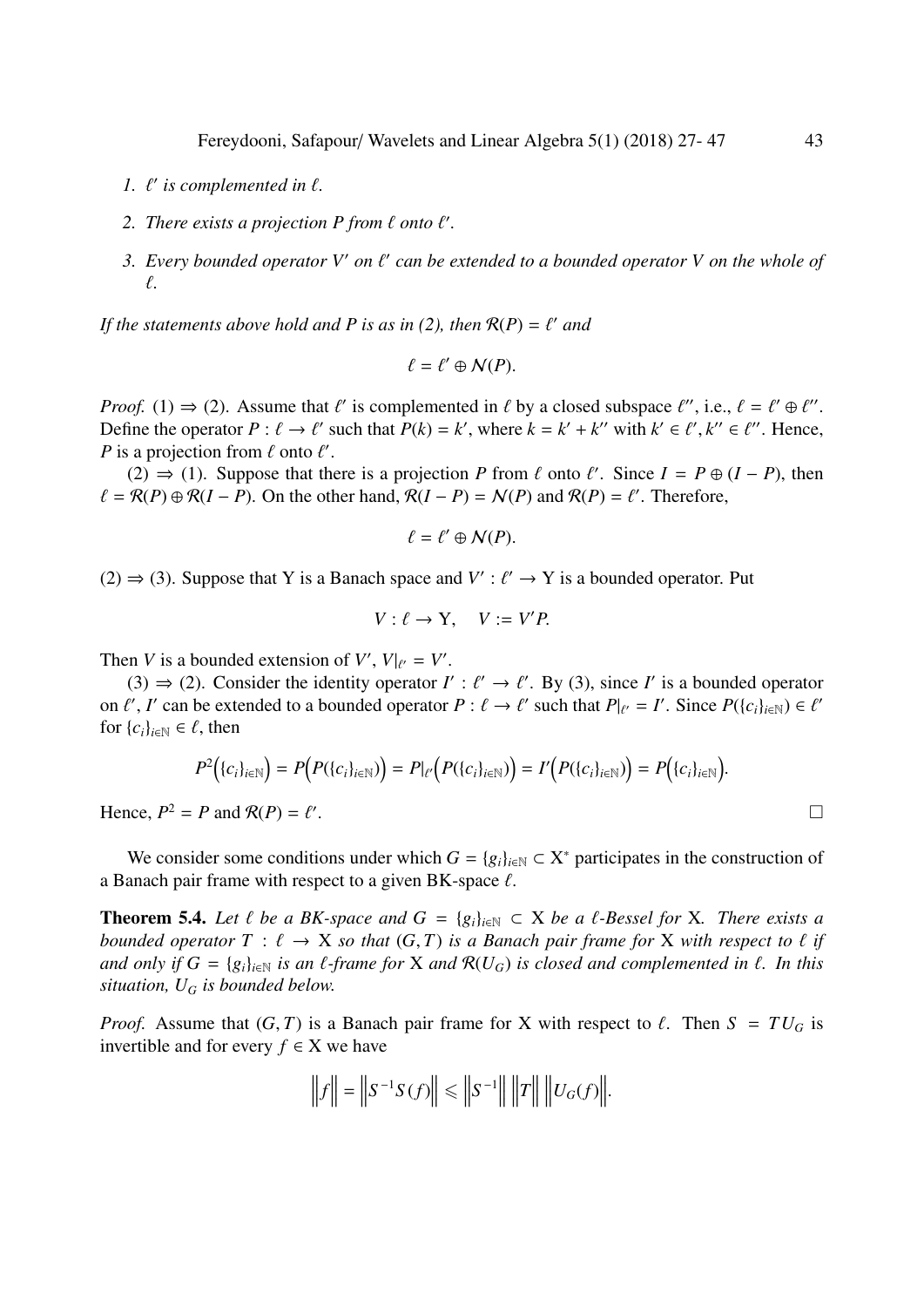- 1.  $\ell'$  is complemented in  $\ell$ .
- 2. *There exists a projection P from*  $\ell$  *onto*  $\ell'$ *.*
- *3. Every bounded operator V' on*  $\ell'$  *can be extended to a bounded operator V on the whole of* `*.*

If the statements above hold and P is as in  $(2)$ , then  $\mathcal{R}(P) = \ell'$  and

$$
\ell=\ell'\oplus\mathcal{N}(P).
$$

*Proof.* (1)  $\Rightarrow$  (2). Assume that  $\ell'$  is complemented in  $\ell$  by a closed subspace  $\ell''$ , i.e.,  $\ell = \ell' \oplus \ell''$ .<br>Define the operator  $P : \ell \rightarrow \ell'$  such that  $P(k) = k'$  where  $k = k' + k''$  with  $k' \in \ell'$ ,  $k'' \in \ell''$ . Hence, Define the operator  $P : \ell \to \ell'$  such that  $P(k) = k'$ , where  $k = k' + k''$  with  $k' \in \ell', k'' \in \ell''$ . Hence,  $P$  is a projection from  $\ell$  onto  $\ell'$ *P* is a projection from  $\ell$  onto  $\ell'$ .<br>(2)  $\rightarrow$  (1) Suppose that the

(2) ⇒ (1). Suppose that there is a projection *P* from  $\ell$  onto  $\ell'$ . Since  $I = P \oplus (I - P)$ , then  $\mathcal{R}(P) \oplus \mathcal{R}(I - P)$ . On the other hand  $\mathcal{R}(I - P) = N(P)$  and  $\mathcal{R}(P) = \ell'$ . Therefore  $\ell = \mathcal{R}(P) \oplus \mathcal{R}(I - P)$ . On the other hand,  $\mathcal{R}(I - P) = \mathcal{N}(P)$  and  $\mathcal{R}(P) = \ell'$ . Therefore,

$$
\ell=\ell'\oplus \mathcal{N}(P).
$$

(2)  $\Rightarrow$  (3). Suppose that Y is a Banach space and *V*' :  $\ell'$  → Y is a bounded operator. Put

$$
V: \ell \to Y, \quad V := V'P.
$$

Then *V* is a bounded extension of *V'*,  $V|_{\ell'} = V'$ .<br>(2)  $\rightarrow$  (2) Consider the identity executor *I* 

(3) ⇒ (2). Consider the identity operator *I'* :  $\ell' \to \ell'$ . By (3), since *I'* is a bounded operator  $\ell'$ , *I'* can be extended to a bounded operator  $P : \ell \to \ell'$  such that  $P|_{\ell} = I'$ . Since  $P(\ell_{\ell}, \ell_{\ell'}) \in \ell'$ on  $\ell'$ , *I*' can be extended to a bounded operator  $P : \ell \to \ell'$  such that  $P|_{\ell'} = I'$ . Since  $P({c_i}_{i \in \mathbb{N}}) \in \ell'$ <br>for  ${c_i}_{i \in \mathbb{N}} \in \ell$  then for  $\{c_i\}_{i\in\mathbb{N}} \in \ell$ , then

$$
P^{2}(\{c_{i}\}_{i\in\mathbb{N}})=P(P(\{c_{i}\}_{i\in\mathbb{N}}))=P|_{\ell'}(P(\{c_{i}\}_{i\in\mathbb{N}}))=I'\big(P(\{c_{i}\}_{i\in\mathbb{N}})\big)=P\big(\{c_{i}\}_{i\in\mathbb{N}}\big).
$$

Hence,  $P^2 = P$  and  $R(P) = \ell'$ 

We consider some conditions under which  $G = \{g_i\}_{i \in \mathbb{N}} \subset X^*$  participates in the construction of a Banach pair frame with respect to a given BK-space  $\ell$ .

<span id="page-16-0"></span>**Theorem 5.4.** Let  $\ell$  be a BK-space and  $G = \{g_i\}_{i \in \mathbb{N}} \subset X$  be a  $\ell$ -Bessel for X. There exists a *bounded operator*  $T : \ell \to X$  *so that*  $(G, T)$  *is a Banach pair frame for* X *with respect to*  $\ell$  *if and only if*  $G = \{g_i\}_{i \in \mathbb{N}}$  *is an*  $\ell$ *-frame for* X *and*  $\mathcal{R}(U_G)$  *is closed and complemented in*  $\ell$ *. In this situation, U<sup>G</sup> is bounded below.*

*Proof.* Assume that  $(G, T)$  is a Banach pair frame for X with respect to  $\ell$ . Then  $S = TU_G$  is invertible and for every  $f \in X$  we have

$$
\|f\| = \|S^{-1}S(f)\| \le \|S^{-1}\| \|T\| \|U_G(f)\|.
$$

.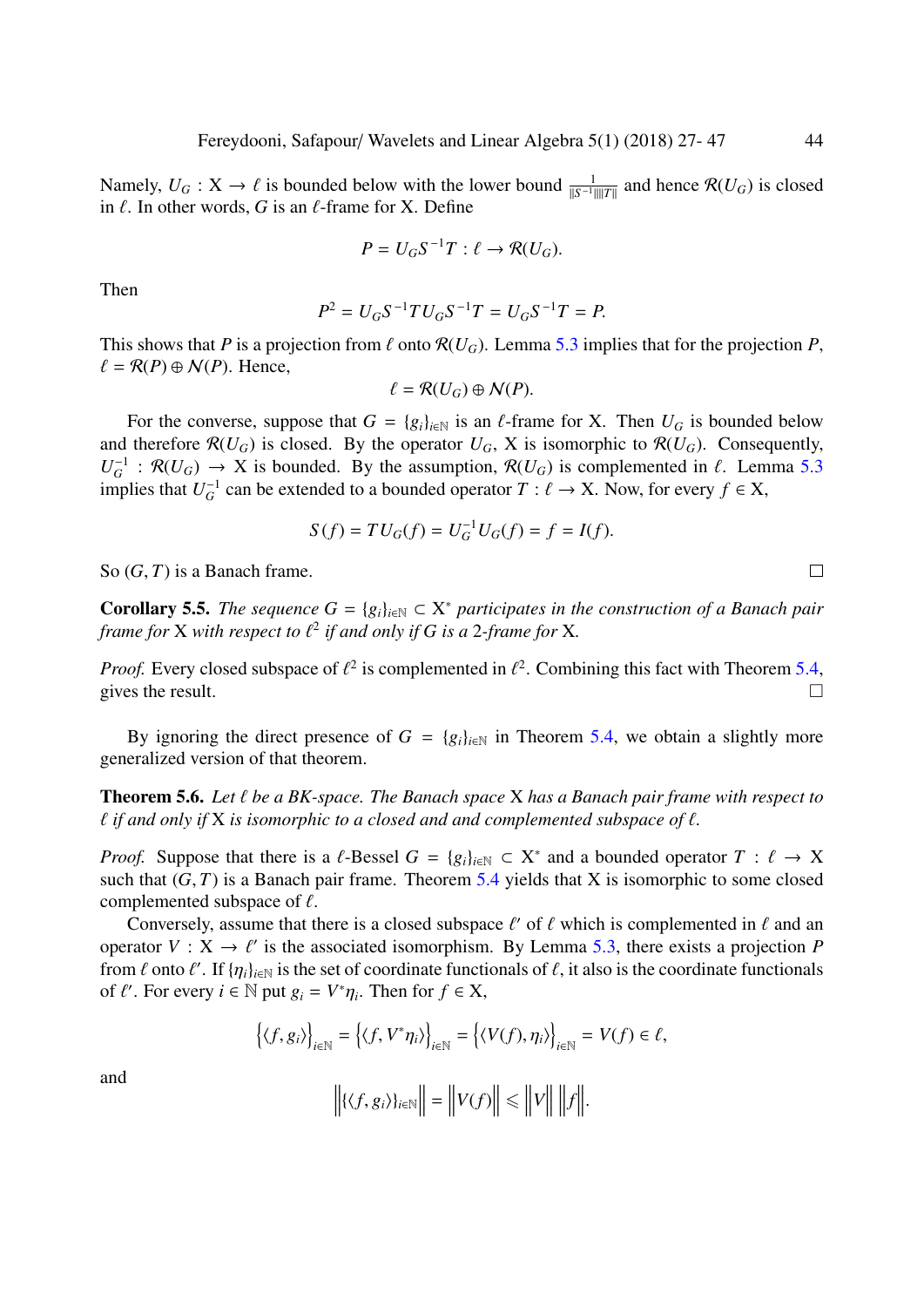Namely,  $U_G$  :  $X$  →  $\ell$  is bounded below with the lower bound  $\frac{1}{\|S^{-1}\| \|T\|}$  and hence  $\mathcal{R}(U_G)$  is closed in  $\ell$ . In other words  $G$  is an  $\ell$ -frame for  $X$ . Define in  $\ell$ . In other words, *G* is an  $\ell$ -frame for *X*. Define

$$
P = U_G S^{-1} T : \ell \to \mathcal{R}(U_G).
$$

Then

$$
P^2 = U_G S^{-1} T U_G S^{-1} T = U_G S^{-1} T = P.
$$

This shows that *P* is a projection from  $\ell$  onto  $\mathcal{R}(U_G)$ . Lemma [5.3](#page-15-1) implies that for the projection *P*,  $\ell = \mathcal{R}(P) \oplus \mathcal{N}(P)$ . Hence,

$$
\ell = \mathcal{R}(U_G) \oplus \mathcal{N}(P).
$$

For the converse, suppose that  $G = \{g_i\}_{i \in \mathbb{N}}$  is an  $\ell$ -frame for X. Then  $U_G$  is bounded below and therefore  $\mathcal{R}(U_G)$  is closed. By the operator  $U_G$ , X is isomorphic to  $\mathcal{R}(U_G)$ . Consequently,  $U_G^{-1}$ :  $\mathcal{R}(U_G) \to X$  is bounded. By the assumption,  $\mathcal{R}(U_G)$  is complemented in  $\ell$ . Lemma [5.3](#page-15-1)<br>implies that  $U^{-1}$  can be extended to a bounded operator  $T : \ell \to X$ . Now, for every  $f \in X$ implies that  $U_G^{-1}$  can be extended to a bounded operator  $T : \ell \to X$ . Now, for every  $f \in X$ ,

$$
S(f) = TU_G(f) = U_G^{-1}U_G(f) = f = I(f).
$$

So (*G*, *<sup>T</sup>*) is a Banach frame.

**Corollary 5.5.** *The sequence*  $G = \{g_i\}_{i \in \mathbb{N}} \subset X^*$  *participates in the construction of a Banach pair frame for*  $X$  *with respect to*  $\ell^2$  *if and only if*  $G$  *is a* 2*-frame for*  $X$ *.* 

*Proof.* Every closed subspace of  $\ell^2$  is complemented in  $\ell^2$ . Combining this fact with Theorem [5.4,](#page-16-0) gives the result gives the result.  $\Box$ 

By ignoring the direct presence of  $G = \{g_i\}_{i \in \mathbb{N}}$  in Theorem [5.4,](#page-16-0) we obtain a slightly more generalized version of that theorem.

**Theorem 5.6.** Let  $\ell$  be a BK-space. The Banach space X has a Banach pair frame with respect to  $\ell$  *if and only if* X *is isomorphic to a closed and and complemented subspace of*  $\ell$ *.* 

*Proof.* Suppose that there is a  $\ell$ -Bessel  $G = \{g_i\}_{i \in \mathbb{N}} \subset X^*$  and a bounded operator  $T : \ell \to X$ <br>such that  $(G, T)$  is a Banach pair frame. Theorem 5.4 vields that X is isomorphic to some closed such that  $(G, T)$  is a Banach pair frame. Theorem [5.4](#page-16-0) yields that X is isomorphic to some closed complemented subspace of  $\ell$ .

Conversely, assume that there is a closed subspace  $\ell'$  of  $\ell$  which is complemented in  $\ell$  and an rator  $V : X \to \ell'$  is the associated isomorphism. By Lemma 5.3, there exists a projection  $P$ operator  $V : X \to \ell'$  is the associated isomorphism. By Lemma [5.3,](#page-15-1) there exists a projection *P* from  $\ell$  onto  $\ell'$ . If  $\{n_k\}$ , is the set of coordinate functionals of  $\ell$  it also is the coordinate functionals from  $\ell$  onto  $\ell'$ . If  $\{\eta_i\}_{i\in\mathbb{N}}$  is the set of coordinate functionals of  $\ell$ , it also is the coordinate functionals of  $\ell'$ . For every  $i \in \mathbb{N}$  put  $g_i = V^*p_i$ . Then for  $f \in X$ of  $\ell'$ . For every  $i \in \mathbb{N}$  put  $g_i = V^* \eta_i$ . Then for  $f \in X$ ,

$$
\left\{ \langle f, g_i \rangle \right\}_{i \in \mathbb{N}} = \left\{ \langle f, V^* \eta_i \rangle \right\}_{i \in \mathbb{N}} = \left\{ \langle V(f), \eta_i \rangle \right\}_{i \in \mathbb{N}} = V(f) \in \ell,
$$

and

$$
\left\| \{ \langle f, g_i \rangle \}_{i \in \mathbb{N}} \right\| = \left\| V(f) \right\| \leq \left\| V \right\| \left\| f \right\|.
$$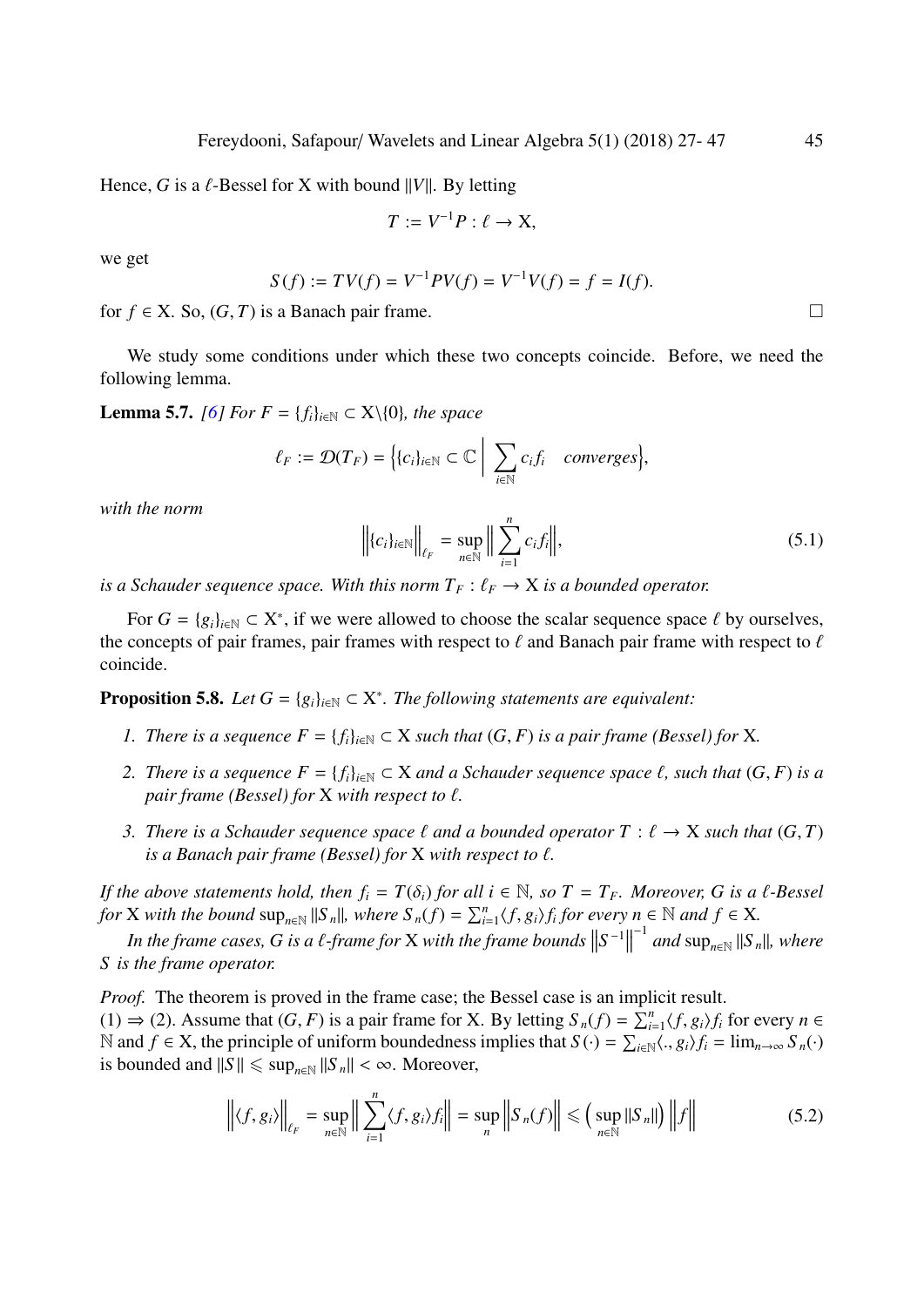Hence, *G* is a  $\ell$ -Bessel for *X* with bound *||V||*. By letting

$$
T := V^{-1}P : \ell \to X,
$$

we get

$$
S(f) := TV(f) = V^{-1}PV(f) = V^{-1}V(f) = f = I(f).
$$

for *f* ∈ X. So,  $(G, T)$  is a Banach pair frame.

We study some conditions under which these two concepts coincide. Before, we need the following lemma.

**Lemma 5.7.** *[\[6\]](#page-20-10) For*  $F = \{f_i\}_{i \in \mathbb{N}} \subset X \setminus \{0\}$ *, the space* 

$$
\ell_F := \mathcal{D}(T_F) = \Big\{ \{c_i\}_{i \in \mathbb{N}} \subset \mathbb{C} \Big| \sum_{i \in \mathbb{N}} c_i f_i \quad converges \Big\},\
$$

*with the norm*

$$
\left\| \{c_i\}_{i \in \mathbb{N}} \right\|_{\ell_F} = \sup_{n \in \mathbb{N}} \left\| \sum_{i=1}^n c_i f_i \right\|, \tag{5.1}
$$

*is a Schauder sequence space. With this norm*  $T_F$  :  $\ell_F \to X$  *is a bounded operator.* 

For  $G = \{g_i\}_{i \in \mathbb{N}} \subset X^*$ , if we were allowed to choose the scalar sequence space  $\ell$  by ourselves, concents of pair frames pair frames with respect to  $\ell$  and Banach pair frame with respect to  $\ell$ the concepts of pair frames, pair frames with respect to  $\ell$  and Banach pair frame with respect to  $\ell$ coincide.

**Proposition 5.8.** *Let*  $G = \{g_i\}_{i \in \mathbb{N}} \subset X^*$ . *The following statements are equivalent:* 

- *1. There is a sequence*  $F = \{f_i\}_{i \in \mathbb{N}} \subset X$  *such that*  $(G, F)$  *is a pair frame (Bessel) for* X*.*
- *2. There is a sequence*  $F = \{f_i\}_{i \in \mathbb{N}} \subset X$  *and a Schauder sequence space*  $\ell$ *, such that*  $(G, F)$  *is a pair frame (Bessel) for*  $X$  *with respect to*  $\ell$ *.*
- *3. There is a Schauder sequence space*  $\ell$  *and a bounded operator*  $T : \ell \rightarrow X$  *such that*  $(G, T)$ *is a Banach pair frame (Bessel) for*  $X$  *with respect to*  $\ell$ *.*

*If the above statements hold, then*  $f_i = T(\delta_i)$  *for all*  $i \in \mathbb{N}$ *, so*  $T = T_F$ *. Moreover, G is a*  $\ell$ *-Bessel for X with the bound*  $\sup_{n \in \mathbb{N}} ||S_n||$ , *where*  $S_n(f) = \sum_{i=1}^n \langle f, g_i \rangle f_i$  *for every n* ∈  $\mathbb{N}$  *and*  $f \in X$ *.* 

In the frame cases, G is a  $\ell$ -frame for X with the frame bounds  $\|S^{-1}\|$ <br>whe frame operator  $^{-1}$  and sup<sub>n∈N</sub> ||S<sub>n</sub>||, where *S is the frame operator.*

<span id="page-18-0"></span>*Proof.* The theorem is proved in the frame case; the Bessel case is an implicit result. (1) ⇒ (2). Assume that  $(G, F)$  is a pair frame for X. By letting  $S_n(f) = \sum_{i=1}^n \langle f, g_i \rangle f_i$  for every  $n \in \mathbb{N}$  and  $f \in X$  the principle of uniform boundedness implies that  $S(.) = \sum_{i=1}^n \langle g_i \rangle f_i = \lim_{i \to \infty} S(i)$ N and *f* ∈ X, the principle of uniform boundedness implies that  $S(\cdot) = \sum_{i \in \mathbb{N}} \langle ., g_i \rangle f_i = \lim_{n \to \infty} S_n(\cdot)$ <br>is bounded and  $\mathbb{N} \mathbb{N} \leq \sup_{i \in \mathbb{N}} \mathbb{N} \leq \infty$ . Moreover is bounded and  $||S|| \leq \sup_{n \in \mathbb{N}} ||S_n|| < \infty$ . Moreover,

$$
\left\| \langle f, g_i \rangle \right\|_{\ell_F} = \sup_{n \in \mathbb{N}} \left\| \sum_{i=1}^n \langle f, g_i \rangle f_i \right\| = \sup_n \left\| S_n(f) \right\| \le \left( \sup_{n \in \mathbb{N}} \left\| S_n \right\| \right) \left\| f \right\| \tag{5.2}
$$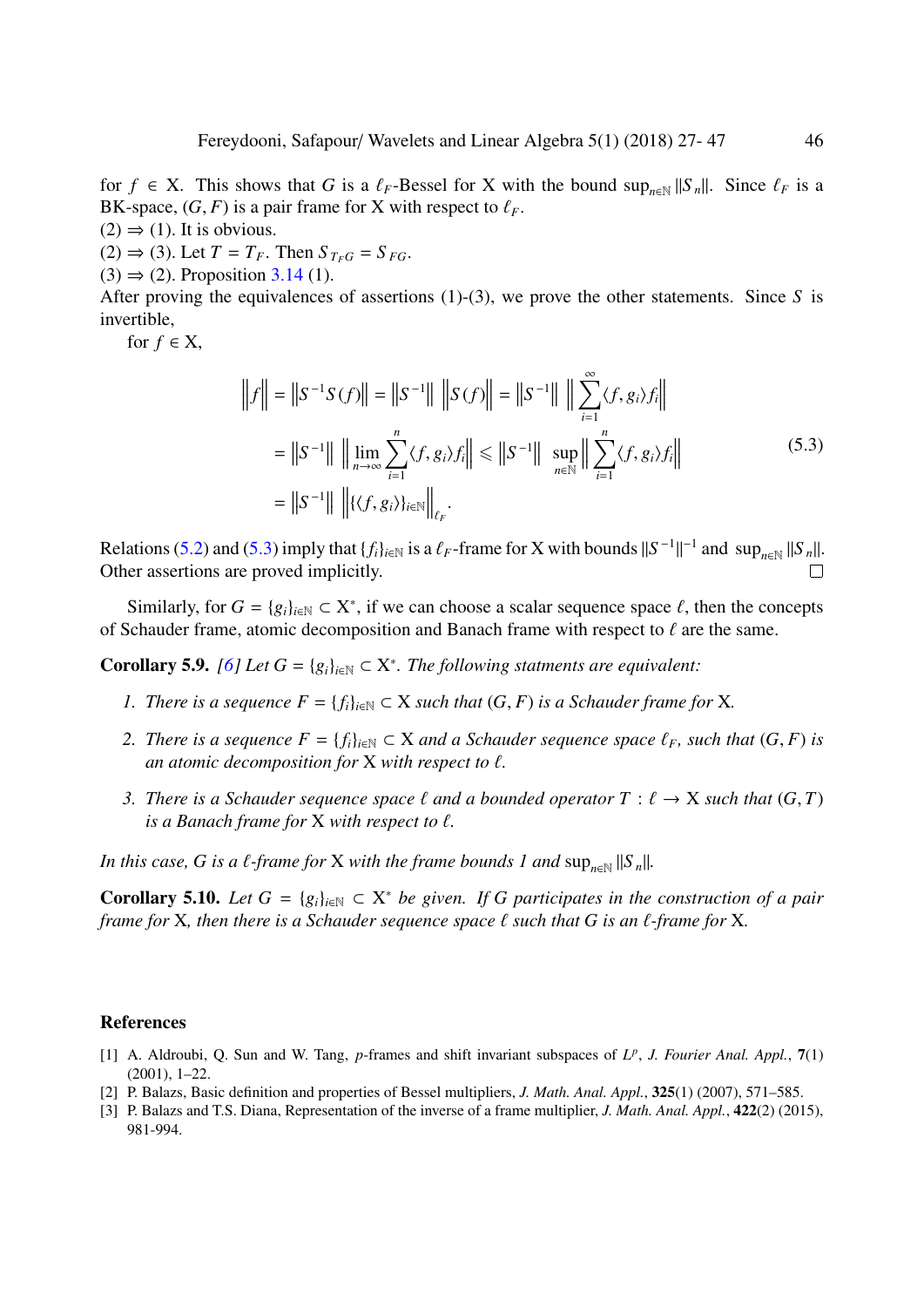for *f* ∈ X. This shows that *G* is a  $\ell_F$ -Bessel for X with the bound sup<sub>*n*∈N</sub> ||S<sub>n</sub>||. Since  $\ell_F$  is a BK-space (*G*, *F*) is a pair frame for X with respect to  $\ell_F$ . BK-space,  $(G, F)$  is a pair frame for X with respect to  $\ell_F$ .

 $(2) \Rightarrow (1)$ . It is obvious.

 $(2) \Rightarrow (3)$ . Let  $T = T_F$ . Then  $S_{T_F G} = S_{F G}$ .

 $(3) \Rightarrow (2)$ . Proposition [3.14](#page-10-2) (1).

After proving the equivalences of assertions (1)-(3), we prove the other statements. Since *S* is invertible,

<span id="page-19-3"></span>for  $f \in X$ ,

$$
||f|| = ||S^{-1}S(f)|| = ||S^{-1}|| ||S(f)|| = ||S^{-1}|| ||\sum_{i=1}^{\infty} \langle f, g_i \rangle f_i||
$$
  
=  $||S^{-1}|| ||\lim_{n \to \infty} \sum_{i=1}^{n} \langle f, g_i \rangle f_i|| \le ||S^{-1}|| \sup_{n \in \mathbb{N}} ||\sum_{i=1}^{n} \langle f, g_i \rangle f_i||$  (5.3)  
=  $||S^{-1}|| ||\langle \langle f, g_i \rangle \rangle_{i \in \mathbb{N}} ||_{\ell_F}.$ 

Relations [\(5.2\)](#page-18-0) and [\(5.3\)](#page-19-3) imply that  $\{f_i\}_{i\in\mathbb{N}}$  is a  $\ell_F$ -frame for X with bounds  $||S^{-1}||^{-1}$  and  $\sup_{n\in\mathbb{N}}||S_n||$ .<br>Other assertions are proved implicitly Other assertions are proved implicitly.

Similarly, for  $G = \{g_i\}_{i \in \mathbb{N}} \subset X^*$ , if we can choose a scalar sequence space  $\ell$ , then the concepts  $\lambda$  chauder frame atomic decomposition and Banach frame with respect to  $\ell$  are the same of Schauder frame, atomic decomposition and Banach frame with respect to  $\ell$  are the same.

**Corollary 5.9.** *[\[6\]](#page-20-10) Let*  $G = \{g_i\}_{i \in \mathbb{N}} \subset X^*$ . *The following statments are equivalent:* 

- *1. There is a sequence*  $F = \{f_i\}_{i \in \mathbb{N}} \subset X$  *such that*  $(G, F)$  *is a Schauder frame for* X*.*
- *2. There is a sequence*  $F = \{f_i\}_{i \in \mathbb{N}} \subset X$  *and a Schauder sequence space*  $\ell_F$ *, such that*  $(G, F)$  *is an atomic decomposition for*  $X$  *with respect to*  $\ell$ *.*
- *3. There is a Schauder sequence space*  $\ell$  *and a bounded operator*  $T : \ell \rightarrow X$  *such that*  $(G, T)$ *is a Banach frame for*  $X$  *with respect to*  $\ell$ *.*

*In this case, G is a*  $\ell$ *-frame for* X *with the frame bounds 1 and*  $\sup_{n\in\mathbb{N}}||S_n||$ .

**Corollary 5.10.** *Let*  $G = \{g_i\}_{i \in \mathbb{N}} \subset X^*$  *be given. If G participates in the construction of a pair frame for* X, then there is a Schauder sequence space  $\ell$  such that G is an  $\ell$ -frame for X.

#### References

- <span id="page-19-0"></span>[1] A. Aldroubi, Q. Sun and W. Tang, *p*-frames and shift invariant subspaces of *L p* , *J. Fourier Anal. Appl.*, 7(1) (2001), 1–22.
- <span id="page-19-1"></span>[2] P. Balazs, Basic definition and properties of Bessel multipliers, *J. Math. Anal. Appl.*, 325(1) (2007), 571–585.
- <span id="page-19-2"></span>[3] P. Balazs and T.S. Diana, Representation of the inverse of a frame multiplier, *J. Math. Anal. Appl.*, 422(2) (2015), 981-994.